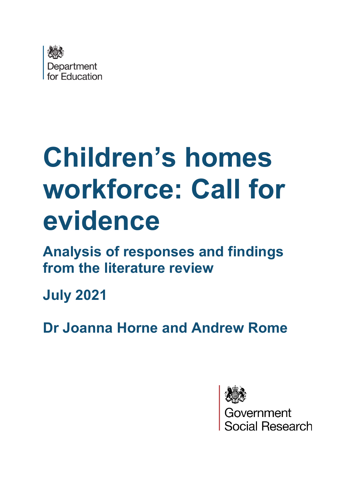

# **Children's homes workforce: Call for evidence**

**Analysis of responses and findings from the literature review**

**July 2021**

**Dr Joanna Horne and Andrew Rome**

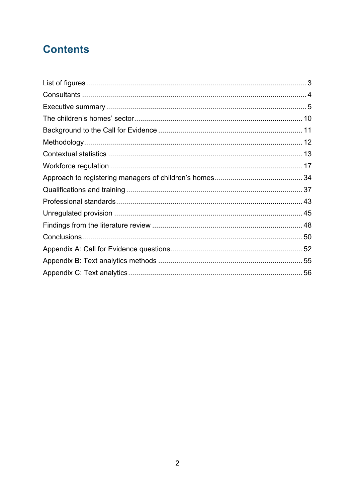# **Contents**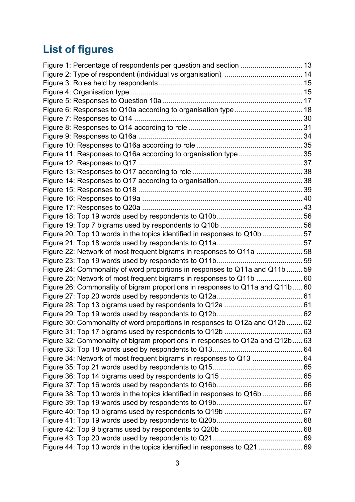# **List of figures**

| Figure 6: Responses to Q10a according to organisation type 18                 |  |
|-------------------------------------------------------------------------------|--|
|                                                                               |  |
|                                                                               |  |
|                                                                               |  |
|                                                                               |  |
| Figure 11: Responses to Q16a according to organisation type 35                |  |
|                                                                               |  |
|                                                                               |  |
|                                                                               |  |
|                                                                               |  |
|                                                                               |  |
|                                                                               |  |
|                                                                               |  |
|                                                                               |  |
| Figure 20: Top 10 words in the topics identified in responses to Q10b 57      |  |
|                                                                               |  |
| Figure 22: Network of most frequent bigrams in responses to Q11a  58          |  |
|                                                                               |  |
| Figure 24: Commonality of word proportions in responses to Q11a and Q11b  59  |  |
| Figure 25: Network of most frequent bigrams in responses to Q11b  60          |  |
| Figure 26: Commonality of bigram proportions in responses to Q11a and Q11b 60 |  |
|                                                                               |  |
|                                                                               |  |
|                                                                               |  |
| Figure 30: Commonality of word proportions in responses to Q12a and Q12b  62  |  |
|                                                                               |  |
| Figure 32: Commonality of bigram proportions in responses to Q12a and Q12b 63 |  |
|                                                                               |  |
| Figure 34: Network of most frequent bigrams in responses to Q13  64           |  |
|                                                                               |  |
|                                                                               |  |
|                                                                               |  |
| Figure 38: Top 10 words in the topics identified in responses to Q16b  66     |  |
|                                                                               |  |
|                                                                               |  |
|                                                                               |  |
|                                                                               |  |
|                                                                               |  |
| Figure 44: Top 10 words in the topics identified in responses to Q21  69      |  |
|                                                                               |  |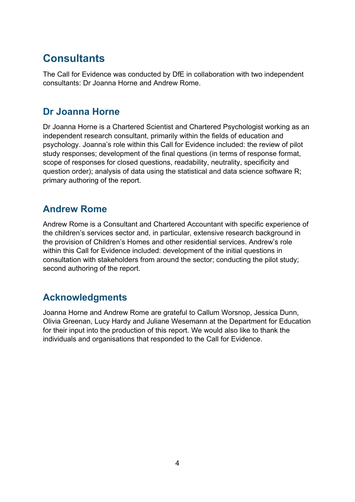# **Consultants**

The Call for Evidence was conducted by DfE in collaboration with two independent consultants: Dr Joanna Horne and Andrew Rome.

### **Dr Joanna Horne**

Dr Joanna Horne is a Chartered Scientist and Chartered Psychologist working as an independent research consultant, primarily within the fields of education and psychology. Joanna's role within this Call for Evidence included: the review of pilot study responses; development of the final questions (in terms of response format, scope of responses for closed questions, readability, neutrality, specificity and question order); analysis of data using the statistical and data science software R; primary authoring of the report.

# **Andrew Rome**

Andrew Rome is a Consultant and Chartered Accountant with specific experience of the children's services sector and, in particular, extensive research background in the provision of Children's Homes and other residential services. Andrew's role within this Call for Evidence included: development of the initial questions in consultation with stakeholders from around the sector; conducting the pilot study; second authoring of the report.

# **Acknowledgments**

Joanna Horne and Andrew Rome are grateful to Callum Worsnop, Jessica Dunn, Olivia Greenan, Lucy Hardy and Juliane Wesemann at the Department for Education for their input into the production of this report. We would also like to thank the individuals and organisations that responded to the Call for Evidence.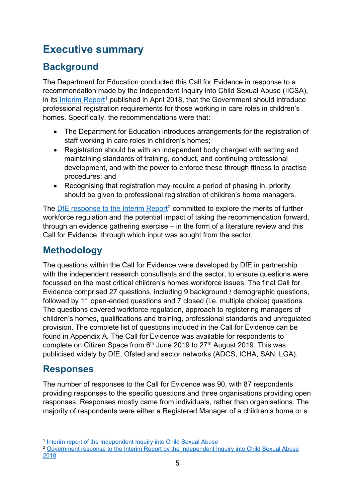# **Executive summary**

# **Background**

The Department for Education conducted this Call for Evidence in response to a recommendation made by the Independent Inquiry into Child Sexual Abuse (IICSA), in its [Interim Report](https://www.iicsa.org.uk/publications/inquiry/interim)<sup>[1](#page-4-0)</sup> published in April 2018, that the Government should introduce professional registration requirements for those working in care roles in children's homes. Specifically, the recommendations were that:

- The Department for Education introduces arrangements for the registration of staff working in care roles in children's homes;
- Registration should be with an independent body charged with setting and maintaining standards of training, conduct, and continuing professional development, and with the power to enforce these through fitness to practise procedures; and
- Recognising that registration may require a period of phasing in, priority should be given to professional registration of children's home managers.

The DfE response [to the Interim Report](https://assets.publishing.service.gov.uk/government/uploads/system/uploads/attachment_data/file/765917/CCS207_CCS1218194158-001_Gov_Resp_to_IICSA.PDF)<sup>[2](#page-4-1)</sup> committed to explore the merits of further workforce regulation and the potential impact of taking the recommendation forward, through an evidence gathering exercise – in the form of a literature review and this Call for Evidence, through which input was sought from the sector.

# **Methodology**

The questions within the Call for Evidence were developed by DfE in partnership with the independent research consultants and the sector, to ensure questions were focussed on the most critical children's homes workforce issues. The final Call for Evidence comprised 27 questions, including 9 background / demographic questions, followed by 11 open-ended questions and 7 closed (i.e. multiple choice) questions. The questions covered workforce regulation, approach to registering managers of children's homes, qualifications and training, professional standards and unregulated provision. The complete list of questions included in the Call for Evidence can be found in Appendix A. The Call for Evidence was available for respondents to complete on Citizen Space from  $6<sup>th</sup>$  June 2019 to 27<sup>th</sup> August 2019. This was publicised widely by DfE, Ofsted and sector networks (ADCS, ICHA, SAN, LGA).

# **Responses**

The number of responses to the Call for Evidence was 90, with 87 respondents providing responses to the specific questions and three organisations providing open responses. Responses mostly came from individuals, rather than organisations. The majority of respondents were either a Registered Manager of a children's home or a

<span id="page-4-0"></span><sup>1</sup> [Interim report of the Independent Inquiry into Child Sexual Abuse](https://www.iicsa.org.uk/publications/inquiry/interim)

<span id="page-4-1"></span><sup>&</sup>lt;sup>2</sup> Government response to the Interim Report by the Independent Inquiry into Child Sexual Abuse [2018](https://assets.publishing.service.gov.uk/government/uploads/system/uploads/attachment_data/file/765917/CCS207_CCS1218194158-001_Gov_Resp_to_IICSA.PDF)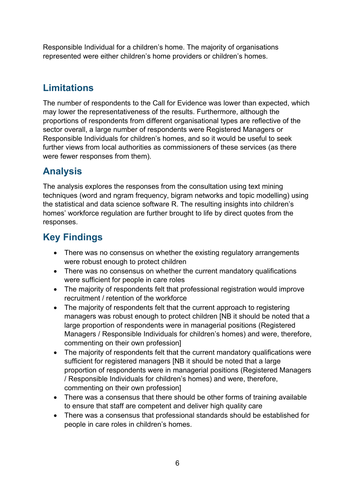Responsible Individual for a children's home. The majority of organisations represented were either children's home providers or children's homes.

# **Limitations**

The number of respondents to the Call for Evidence was lower than expected, which may lower the representativeness of the results. Furthermore, although the proportions of respondents from different organisational types are reflective of the sector overall, a large number of respondents were Registered Managers or Responsible Individuals for children's homes, and so it would be useful to seek further views from local authorities as commissioners of these services (as there were fewer responses from them).

# **Analysis**

The analysis explores the responses from the consultation using text mining techniques (word and ngram frequency, bigram networks and topic modelling) using the statistical and data science software R. The resulting insights into children's homes' workforce regulation are further brought to life by direct quotes from the responses.

# **Key Findings**

- There was no consensus on whether the existing regulatory arrangements were robust enough to protect children
- There was no consensus on whether the current mandatory qualifications were sufficient for people in care roles
- The majority of respondents felt that professional registration would improve recruitment / retention of the workforce
- The majority of respondents felt that the current approach to registering managers was robust enough to protect children [NB it should be noted that a large proportion of respondents were in managerial positions (Registered Managers / Responsible Individuals for children's homes) and were, therefore, commenting on their own profession]
- The majority of respondents felt that the current mandatory qualifications were sufficient for registered managers [NB it should be noted that a large proportion of respondents were in managerial positions (Registered Managers / Responsible Individuals for children's homes) and were, therefore, commenting on their own profession]
- There was a consensus that there should be other forms of training available to ensure that staff are competent and deliver high quality care
- There was a consensus that professional standards should be established for people in care roles in children's homes.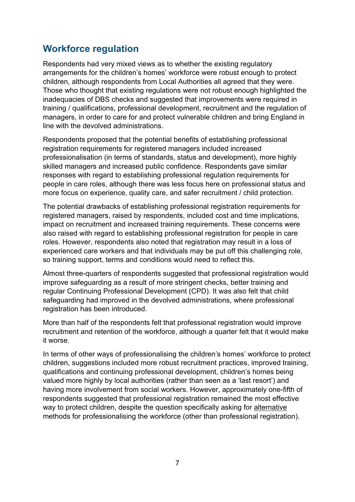### **Workforce regulation**

Respondents had very mixed views as to whether the existing regulatory arrangements for the children's homes' workforce were robust enough to protect children, although respondents from Local Authorities all agreed that they were. Those who thought that existing regulations were not robust enough highlighted the inadequacies of DBS checks and suggested that improvements were required in training / qualifications, professional development, recruitment and the regulation of managers, in order to care for and protect vulnerable children and bring England in line with the devolved administrations.

Respondents proposed that the potential benefits of establishing professional registration requirements for registered managers included increased professionalisation (in terms of standards, status and development), more highly skilled managers and increased public confidence. Respondents gave similar responses with regard to establishing professional regulation requirements for people in care roles, although there was less focus here on professional status and more focus on experience, quality care, and safer recruitment / child protection.

The potential drawbacks of establishing professional registration requirements for registered managers, raised by respondents, included cost and time implications, impact on recruitment and increased training requirements. These concerns were also raised with regard to establishing professional registration for people in care roles. However, respondents also noted that registration may result in a loss of experienced care workers and that individuals may be put off this challenging role, so training support, terms and conditions would need to reflect this.

Almost three-quarters of respondents suggested that professional registration would improve safeguarding as a result of more stringent checks, better training and regular Continuing Professional Development (CPD). It was also felt that child safeguarding had improved in the devolved administrations, where professional registration has been introduced.

More than half of the respondents felt that professional registration would improve recruitment and retention of the workforce, although a quarter felt that it would make it worse.

In terms of other ways of professionalising the children's homes' workforce to protect children, suggestions included more robust recruitment practices, improved training, qualifications and continuing professional development, children's homes being valued more highly by local authorities (rather than seen as a 'last resort') and having more involvement from social workers. However, approximately one-fifth of respondents suggested that professional registration remained the most effective way to protect children, despite the question specifically asking for alternative methods for professionalising the workforce (other than professional registration).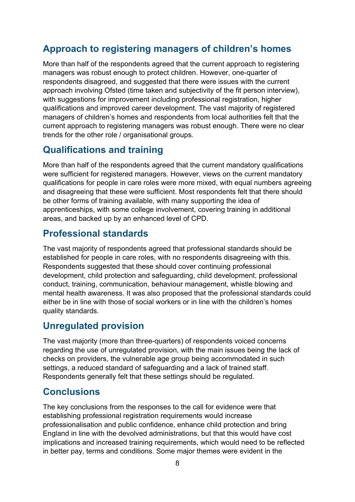# **Approach to registering managers of children's homes**

More than half of the respondents agreed that the current approach to registering managers was robust enough to protect children. However, one-quarter of respondents disagreed, and suggested that there were issues with the current approach involving Ofsted (time taken and subjectivity of the fit person interview), with suggestions for improvement including professional registration, higher qualifications and improved career development. The vast majority of registered managers of children's homes and respondents from local authorities felt that the current approach to registering managers was robust enough. There were no clear trends for the other role / organisational groups.

### **Qualifications and training**

More than half of the respondents agreed that the current mandatory qualifications were sufficient for registered managers. However, views on the current mandatory qualifications for people in care roles were more mixed, with equal numbers agreeing and disagreeing that these were sufficient. Most respondents felt that there should be other forms of training available, with many supporting the idea of apprenticeships, with some college involvement, covering training in additional areas, and backed up by an enhanced level of CPD.

### **Professional standards**

The vast majority of respondents agreed that professional standards should be established for people in care roles, with no respondents disagreeing with this. Respondents suggested that these should cover continuing professional development, child protection and safeguarding, child development, professional conduct, training, communication, behaviour management, whistle blowing and mental health awareness. It was also proposed that the professional standards could either be in line with those of social workers or in line with the children's homes quality standards.

# **Unregulated provision**

The vast majority (more than three-quarters) of respondents voiced concerns regarding the use of unregulated provision, with the main issues being the lack of checks on providers, the vulnerable age group being accommodated in such settings, a reduced standard of safeguarding and a lack of trained staff. Respondents generally felt that these settings should be regulated.

# **Conclusions**

The key conclusions from the responses to the call for evidence were that establishing professional registration requirements would increase professionalisation and public confidence, enhance child protection and bring England in line with the devolved administrations, but that this would have cost implications and increased training requirements, which would need to be reflected in better pay, terms and conditions. Some major themes were evident in the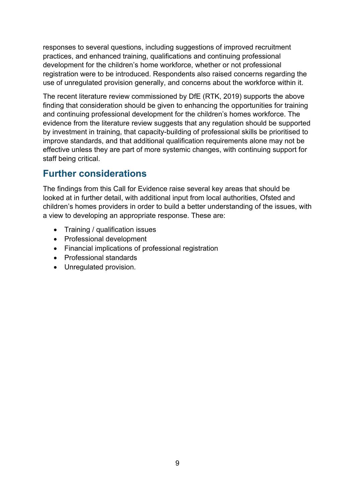responses to several questions, including suggestions of improved recruitment practices, and enhanced training, qualifications and continuing professional development for the children's home workforce, whether or not professional registration were to be introduced. Respondents also raised concerns regarding the use of unregulated provision generally, and concerns about the workforce within it.

The recent literature review commissioned by DfE (RTK, 2019) supports the above finding that consideration should be given to enhancing the opportunities for training and continuing professional development for the children's homes workforce. The evidence from the literature review suggests that any regulation should be supported by investment in training, that capacity-building of professional skills be prioritised to improve standards, and that additional qualification requirements alone may not be effective unless they are part of more systemic changes, with continuing support for staff being critical.

# **Further considerations**

The findings from this Call for Evidence raise several key areas that should be looked at in further detail, with additional input from local authorities, Ofsted and children's homes providers in order to build a better understanding of the issues, with a view to developing an appropriate response. These are:

- Training / qualification issues
- Professional development
- Financial implications of professional registration
- Professional standards
- Unregulated provision.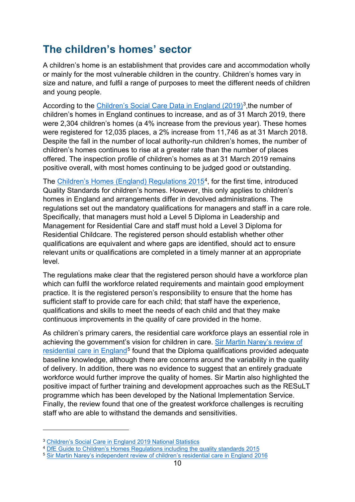# **The children's homes' sector**

A children's home is an establishment that provides care and accommodation wholly or mainly for the most vulnerable children in the country. Children's homes vary in size and nature, and fulfil a range of purposes to meet the different needs of children and young people.

According to the [Children's Social Care Data in England \(2019\)](https://www.gov.uk/government/publications/childrens-social-care-data-in-england-2019/childrens-social-care-in-england-2019#glossary)<sup>[3](#page-9-0)</sup>, the number of children's homes in England continues to increase, and as of 31 March 2019, there were 2,304 children's homes (a 4% increase from the previous year). These homes were registered for 12,035 places, a 2% increase from 11,746 as at 31 March 2018. Despite the fall in the number of local authority-run children's homes, the number of children's homes continues to rise at a greater rate than the number of places offered. The inspection profile of children's homes as at 31 March 2019 remains positive overall, with most homes continuing to be judged good or outstanding.

The [Children's Homes \(England\) Regulations](https://assets.publishing.service.gov.uk/government/uploads/system/uploads/attachment_data/file/463220/Guide_to_Children_s_Home_Standards_inc_quality_standards_Version__1.17_FINAL.pdf) 2015[4,](#page-9-1) for the first time, introduced Quality Standards for children's homes. However, this only applies to children's homes in England and arrangements differ in devolved administrations. The regulations set out the mandatory qualifications for managers and staff in a care role. Specifically, that managers must hold a Level 5 Diploma in Leadership and Management for Residential Care and staff must hold a Level 3 Diploma for Residential Childcare. The registered person should establish whether other qualifications are equivalent and where gaps are identified, should act to ensure relevant units or qualifications are completed in a timely manner at an appropriate level.

The regulations make clear that the registered person should have a workforce plan which can fulfil the workforce related requirements and maintain good employment practice. It is the registered person's responsibility to ensure that the home has sufficient staff to provide care for each child; that staff have the experience, qualifications and skills to meet the needs of each child and that they make continuous improvements in the quality of care provided in the home.

As children's primary carers, the residential care workforce plays an essential role in achieving the government's vision for children in care. [Sir Martin Narey's review of](https://assets.publishing.service.gov.uk/government/uploads/system/uploads/attachment_data/file/534560/Residential-Care-in-England-Sir-Martin-Narey-July-2016.pdf)  [residential care in England](https://assets.publishing.service.gov.uk/government/uploads/system/uploads/attachment_data/file/534560/Residential-Care-in-England-Sir-Martin-Narey-July-2016.pdf)<sup>[5](#page-9-2)</sup> found that the Diploma qualifications provided adequate baseline knowledge, although there are concerns around the variability in the quality of delivery. In addition, there was no evidence to suggest that an entirely graduate workforce would further improve the quality of homes. Sir Martin also highlighted the positive impact of further training and development approaches such as the RESuLT programme which has been developed by the National Implementation Service. Finally, the review found that one of the greatest workforce challenges is recruiting staff who are able to withstand the demands and sensitivities.

<span id="page-9-0"></span><sup>3</sup> [Children's Social Care in England 2019 National Statistics](https://www.gov.uk/government/publications/childrens-social-care-data-in-england-2019/childrens-social-care-in-england-2019#glossaryhttps://www.gov.uk/government/publications/childrens-social-care-data-in-england-2019/childrens-social-care-in-england-2019)

<span id="page-9-1"></span><sup>4</sup> [DfE Guide to Children's Homes Regulations including the quality standards 2015](https://assets.publishing.service.gov.uk/government/uploads/system/uploads/attachment_data/file/463220/Guide_to_Children_s_Home_Standards_inc_quality_standards_Version__1.17_FINAL.pdf)

<span id="page-9-2"></span><sup>5</sup> [Sir Martin Narey's independent review of children's residential care in England 2016](https://assets.publishing.service.gov.uk/government/uploads/system/uploads/attachment_data/file/534560/Residential-Care-in-England-Sir-Martin-Narey-July-2016.pdf)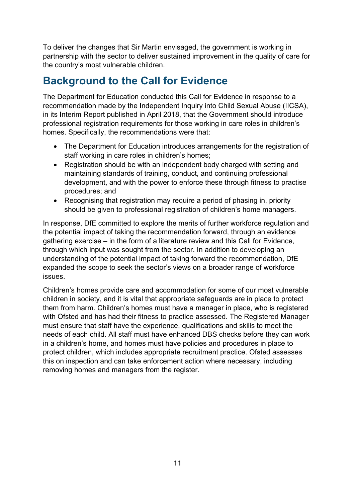To deliver the changes that Sir Martin envisaged, the government is working in partnership with the sector to deliver sustained improvement in the quality of care for the country's most vulnerable children.

# **Background to the Call for Evidence**

The Department for Education conducted this Call for Evidence in response to a recommendation made by the Independent Inquiry into Child Sexual Abuse (IICSA), in its Interim Report published in April 2018, that the Government should introduce professional registration requirements for those working in care roles in children's homes. Specifically, the recommendations were that:

- The Department for Education introduces arrangements for the registration of staff working in care roles in children's homes;
- Registration should be with an independent body charged with setting and maintaining standards of training, conduct, and continuing professional development, and with the power to enforce these through fitness to practise procedures; and
- Recognising that registration may require a period of phasing in, priority should be given to professional registration of children's home managers.

In response, DfE committed to explore the merits of further workforce regulation and the potential impact of taking the recommendation forward, through an evidence gathering exercise – in the form of a literature review and this Call for Evidence, through which input was sought from the sector. In addition to developing an understanding of the potential impact of taking forward the recommendation, DfE expanded the scope to seek the sector's views on a broader range of workforce issues.

Children's homes provide care and accommodation for some of our most vulnerable children in society, and it is vital that appropriate safeguards are in place to protect them from harm. Children's homes must have a manager in place, who is registered with Ofsted and has had their fitness to practice assessed. The Registered Manager must ensure that staff have the experience, qualifications and skills to meet the needs of each child. All staff must have enhanced DBS checks before they can work in a children's home, and homes must have policies and procedures in place to protect children, which includes appropriate recruitment practice. Ofsted assesses this on inspection and can take enforcement action where necessary, including removing homes and managers from the register.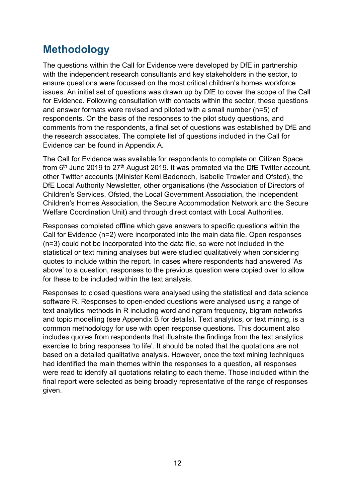# **Methodology**

The questions within the Call for Evidence were developed by DfE in partnership with the independent research consultants and key stakeholders in the sector, to ensure questions were focussed on the most critical children's homes workforce issues. An initial set of questions was drawn up by DfE to cover the scope of the Call for Evidence. Following consultation with contacts within the sector, these questions and answer formats were revised and piloted with a small number (n=5) of respondents. On the basis of the responses to the pilot study questions, and comments from the respondents, a final set of questions was established by DfE and the research associates. The complete list of questions included in the Call for Evidence can be found in Appendix A.

The Call for Evidence was available for respondents to complete on Citizen Space from  $6<sup>th</sup>$  June 2019 to 27<sup>th</sup> August 2019. It was promoted via the DfE Twitter account, other Twitter accounts (Minister Kemi Badenoch, Isabelle Trowler and Ofsted), the DfE Local Authority Newsletter, other organisations (the Association of Directors of Children's Services, Ofsted, the Local Government Association, the Independent Children's Homes Association, the Secure Accommodation Network and the Secure Welfare Coordination Unit) and through direct contact with Local Authorities.

Responses completed offline which gave answers to specific questions within the Call for Evidence (n=2) were incorporated into the main data file. Open responses (n=3) could not be incorporated into the data file, so were not included in the statistical or text mining analyses but were studied qualitatively when considering quotes to include within the report. In cases where respondents had answered 'As above' to a question, responses to the previous question were copied over to allow for these to be included within the text analysis.

Responses to closed questions were analysed using the statistical and data science software R. Responses to open-ended questions were analysed using a range of text analytics methods in R including word and ngram frequency, bigram networks and topic modelling (see Appendix B for details). Text analytics, or text mining, is a common methodology for use with open response questions. This document also includes quotes from respondents that illustrate the findings from the text analytics exercise to bring responses 'to life'. It should be noted that the quotations are not based on a detailed qualitative analysis. However, once the text mining techniques had identified the main themes within the responses to a question, all responses were read to identify all quotations relating to each theme. Those included within the final report were selected as being broadly representative of the range of responses given.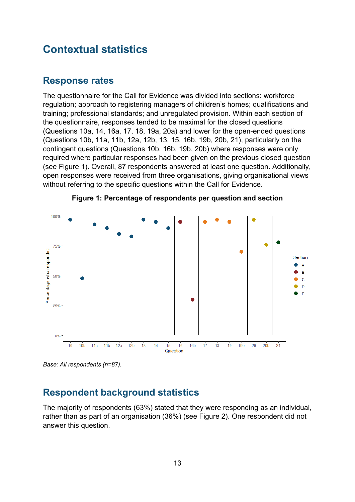# **Contextual statistics**

### **Response rates**

The questionnaire for the Call for Evidence was divided into sections: workforce regulation; approach to registering managers of children's homes; qualifications and training; professional standards; and unregulated provision. Within each section of the questionnaire, responses tended to be maximal for the closed questions (Questions 10a, 14, 16a, 17, 18, 19a, 20a) and lower for the open-ended questions (Questions 10b, 11a, 11b, 12a, 12b, 13, 15, 16b, 19b, 20b, 21), particularly on the contingent questions (Questions 10b, 16b, 19b, 20b) where responses were only required where particular responses had been given on the previous closed question (see [Figure 1\)](#page-12-0). Overall, 87 respondents answered at least one question. Additionally, open responses were received from three organisations, giving organisational views without referring to the specific questions within the Call for Evidence.

<span id="page-12-0"></span>



*Base: All respondents (n=87).* 

### **Respondent background statistics**

The majority of respondents (63%) stated that they were responding as an individual, rather than as part of an organisation (36%) (see [Figure 2\)](#page-13-0). One respondent did not answer this question.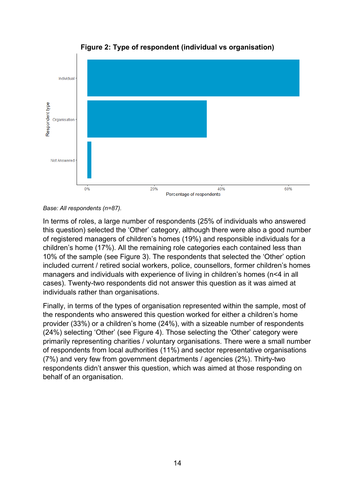<span id="page-13-0"></span>

**Figure 2: Type of respondent (individual vs organisation)** 

*Base: All respondents (n=87).* 

In terms of roles, a large number of respondents (25% of individuals who answered this question) selected the 'Other' category, although there were also a good number of registered managers of children's homes (19%) and responsible individuals for a children's home (17%). All the remaining role categories each contained less than 10% of the sample (see [Figure 3\)](#page-14-0). The respondents that selected the 'Other' option included current / retired social workers, police, counsellors, former children's homes managers and individuals with experience of living in children's homes (n<4 in all cases). Twenty-two respondents did not answer this question as it was aimed at individuals rather than organisations.

Finally, in terms of the types of organisation represented within the sample, most of the respondents who answered this question worked for either a children's home provider (33%) or a children's home (24%), with a sizeable number of respondents (24%) selecting 'Other' (see [Figure 4\)](#page-14-1). Those selecting the 'Other' category were primarily representing charities / voluntary organisations. There were a small number of respondents from local authorities (11%) and sector representative organisations (7%) and very few from government departments / agencies (2%). Thirty-two respondents didn't answer this question, which was aimed at those responding on behalf of an organisation.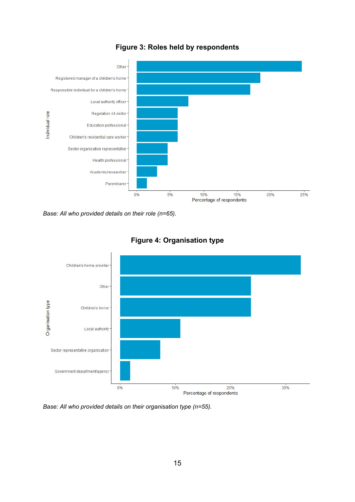<span id="page-14-0"></span>

#### **Figure 3: Roles held by respondents**

*Base: All who provided details on their role (n=65).* 

<span id="page-14-1"></span>



*Base: All who provided details on their organisation type (n=55).*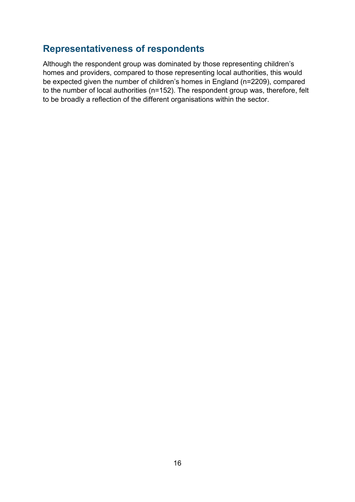### **Representativeness of respondents**

Although the respondent group was dominated by those representing children's homes and providers, compared to those representing local authorities, this would be expected given the number of children's homes in England (n=2209), compared to the number of local authorities (n=152). The respondent group was, therefore, felt to be broadly a reflection of the different organisations within the sector.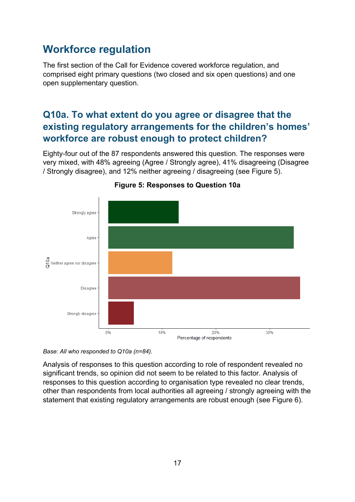# **Workforce regulation**

The first section of the Call for Evidence covered workforce regulation, and comprised eight primary questions (two closed and six open questions) and one open supplementary question.

# **Q10a. To what extent do you agree or disagree that the existing regulatory arrangements for the children's homes' workforce are robust enough to protect children?**

Eighty-four out of the 87 respondents answered this question. The responses were very mixed, with 48% agreeing (Agree / Strongly agree), 41% disagreeing (Disagree / Strongly disagree), and 12% neither agreeing / disagreeing (see [Figure 5\)](#page-16-0).

<span id="page-16-0"></span>

#### **Figure 5: Responses to Question 10a**

*Base: All who responded to Q10a (n=84).* 

Analysis of responses to this question according to role of respondent revealed no significant trends, so opinion did not seem to be related to this factor. Analysis of responses to this question according to organisation type revealed no clear trends, other than respondents from local authorities all agreeing / strongly agreeing with the statement that existing regulatory arrangements are robust enough (see [Figure 6\)](#page-17-0).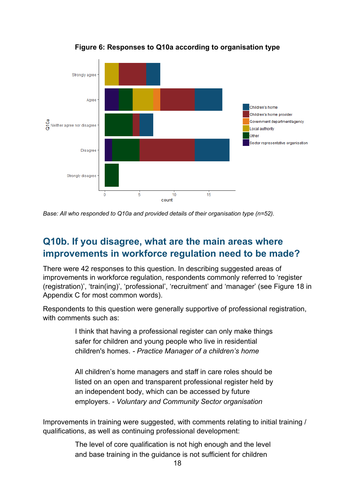<span id="page-17-0"></span>

**Figure 6: Responses to Q10a according to organisation type**

*Base: All who responded to Q10a and provided details of their organisation type (n=52).* 

### **Q10b. If you disagree, what are the main areas where improvements in workforce regulation need to be made?**

There were 42 responses to this question. In describing suggested areas of improvements in workforce regulation, respondents commonly referred to 'register (registration)', 'train(ing)', 'professional', 'recruitment' and 'manager' (see [Figure 18](#page-55-0) in Appendix C for most common words).

Respondents to this question were generally supportive of professional registration, with comments such as:

> I think that having a professional register can only make things safer for children and young people who live in residential children's homes. *- Practice Manager of a children's home*

> All children's home managers and staff in care roles should be listed on an open and transparent professional register held by an independent body, which can be accessed by future employers. *- Voluntary and Community Sector organisation*

Improvements in training were suggested, with comments relating to initial training / qualifications, as well as continuing professional development:

> The level of core qualification is not high enough and the level and base training in the guidance is not sufficient for children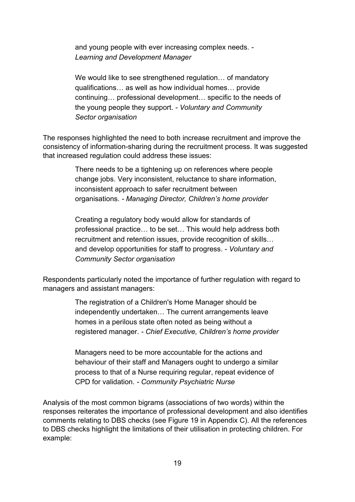and young people with ever increasing complex needs. *- Learning and Development Manager*

We would like to see strengthened regulation... of mandatory qualifications… as well as how individual homes… provide continuing… professional development… specific to the needs of the young people they support. *- Voluntary and Community Sector organisation*

The responses highlighted the need to both increase recruitment and improve the consistency of information-sharing during the recruitment process. It was suggested that increased regulation could address these issues:

> There needs to be a tightening up on references where people change jobs. Very inconsistent, reluctance to share information, inconsistent approach to safer recruitment between organisations. *- Managing Director, Children's home provider*

Creating a regulatory body would allow for standards of professional practice… to be set… This would help address both recruitment and retention issues, provide recognition of skills… and develop opportunities for staff to progress. *- Voluntary and Community Sector organisation*

Respondents particularly noted the importance of further regulation with regard to managers and assistant managers:

> The registration of a Children's Home Manager should be independently undertaken… The current arrangements leave homes in a perilous state often noted as being without a registered manager. *- Chief Executive, Children's home provider*

> Managers need to be more accountable for the actions and behaviour of their staff and Managers ought to undergo a similar process to that of a Nurse requiring regular, repeat evidence of CPD for validation. *- Community Psychiatric Nurse*

Analysis of the most common bigrams (associations of two words) within the responses reiterates the importance of professional development and also identifies comments relating to DBS checks (see [Figure 19](#page-55-1) in Appendix C). All the references to DBS checks highlight the limitations of their utilisation in protecting children. For example: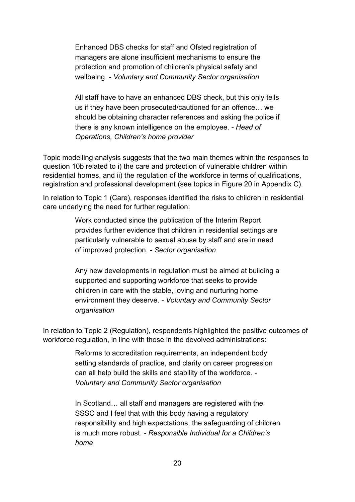Enhanced DBS checks for staff and Ofsted registration of managers are alone insufficient mechanisms to ensure the protection and promotion of children's physical safety and wellbeing. *- Voluntary and Community Sector organisation*

All staff have to have an enhanced DBS check, but this only tells us if they have been prosecuted/cautioned for an offence… we should be obtaining character references and asking the police if there is any known intelligence on the employee. *- Head of Operations, Children's home provider*

Topic modelling analysis suggests that the two main themes within the responses to question 10b related to i) the care and protection of vulnerable children within residential homes, and ii) the regulation of the workforce in terms of qualifications, registration and professional development (see topics in [Figure 20](#page-56-0) in Appendix C).

In relation to Topic 1 (Care), responses identified the risks to children in residential care underlying the need for further regulation:

> Work conducted since the publication of the Interim Report provides further evidence that children in residential settings are particularly vulnerable to sexual abuse by staff and are in need of improved protection. *- Sector organisation*

Any new developments in regulation must be aimed at building a supported and supporting workforce that seeks to provide children in care with the stable, loving and nurturing home environment they deserve. *- Voluntary and Community Sector organisation*

In relation to Topic 2 (Regulation), respondents highlighted the positive outcomes of workforce regulation, in line with those in the devolved administrations:

> Reforms to accreditation requirements, an independent body setting standards of practice, and clarity on career progression can all help build the skills and stability of the workforce. *- Voluntary and Community Sector organisation*

In Scotland… all staff and managers are registered with the SSSC and I feel that with this body having a regulatory responsibility and high expectations, the safeguarding of children is much more robust. *- Responsible Individual for a Children's home*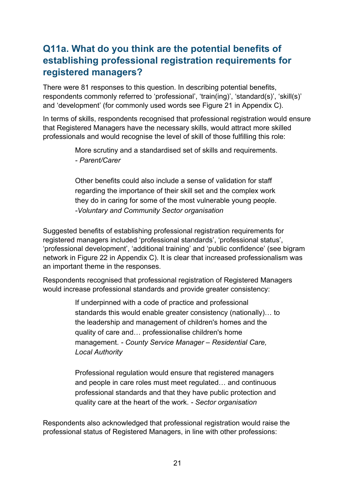# **Q11a. What do you think are the potential benefits of establishing professional registration requirements for registered managers?**

There were 81 responses to this question. In describing potential benefits, respondents commonly referred to 'professional', 'train(ing)', 'standard(s)', 'skill(s)' and 'development' (for commonly used words see [Figure 21](#page-56-1) in Appendix C).

In terms of skills, respondents recognised that professional registration would ensure that Registered Managers have the necessary skills, would attract more skilled professionals and would recognise the level of skill of those fulfilling this role:

> More scrutiny and a standardised set of skills and requirements. *- Parent/Carer*

> Other benefits could also include a sense of validation for staff regarding the importance of their skill set and the complex work they do in caring for some of the most vulnerable young people. *-Voluntary and Community Sector organisation*

Suggested benefits of establishing professional registration requirements for registered managers included 'professional standards', 'professional status', 'professional development', 'additional training' and 'public confidence' (see bigram network in [Figure 22](#page-57-0) in Appendix C). It is clear that increased professionalism was an important theme in the responses.

Respondents recognised that professional registration of Registered Managers would increase professional standards and provide greater consistency:

> If underpinned with a code of practice and professional standards this would enable greater consistency (nationally)… to the leadership and management of children's homes and the quality of care and… professionalise children's home management. *- County Service Manager – Residential Care, Local Authority*

Professional regulation would ensure that registered managers and people in care roles must meet regulated… and continuous professional standards and that they have public protection and quality care at the heart of the work. *- Sector organisation*

Respondents also acknowledged that professional registration would raise the professional status of Registered Managers, in line with other professions: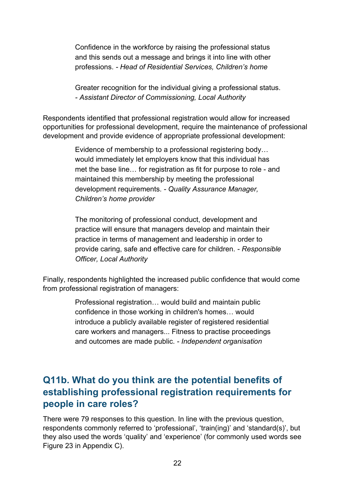Confidence in the workforce by raising the professional status and this sends out a message and brings it into line with other professions. *- Head of Residential Services, Children's home*

Greater recognition for the individual giving a professional status. *- Assistant Director of Commissioning, Local Authority*

Respondents identified that professional registration would allow for increased opportunities for professional development, require the maintenance of professional development and provide evidence of appropriate professional development:

> Evidence of membership to a professional registering body… would immediately let employers know that this individual has met the base line… for registration as fit for purpose to role - and maintained this membership by meeting the professional development requirements. *- Quality Assurance Manager, Children's home provider*

> The monitoring of professional conduct, development and practice will ensure that managers develop and maintain their practice in terms of management and leadership in order to provide caring, safe and effective care for children. *- Responsible Officer, Local Authority*

Finally, respondents highlighted the increased public confidence that would come from professional registration of managers:

> Professional registration… would build and maintain public confidence in those working in children's homes… would introduce a publicly available register of registered residential care workers and managers... Fitness to practise proceedings and outcomes are made public. *- Independent organisation*

### **Q11b. What do you think are the potential benefits of establishing professional registration requirements for people in care roles?**

There were 79 responses to this question. In line with the previous question, respondents commonly referred to 'professional', 'train(ing)' and 'standard(s)', but they also used the words 'quality' and 'experience' (for commonly used words see [Figure 23](#page-58-0) in Appendix C).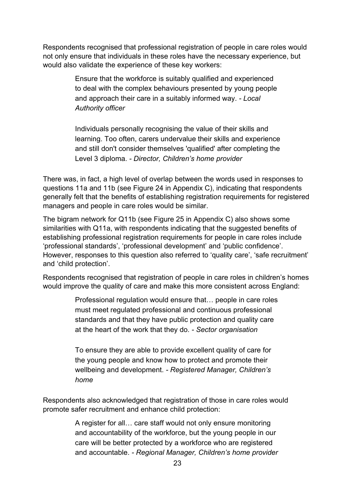Respondents recognised that professional registration of people in care roles would not only ensure that individuals in these roles have the necessary experience, but would also validate the experience of these key workers:

> Ensure that the workforce is suitably qualified and experienced to deal with the complex behaviours presented by young people and approach their care in a suitably informed way. *- Local Authority officer*

Individuals personally recognising the value of their skills and learning. Too often, carers undervalue their skills and experience and still don't consider themselves 'qualified' after completing the Level 3 diploma. *- Director, Children's home provider*

There was, in fact, a high level of overlap between the words used in responses to questions 11a and 11b (see [Figure 24](#page-58-1) in Appendix C), indicating that respondents generally felt that the benefits of establishing registration requirements for registered managers and people in care roles would be similar.

The bigram network for Q11b (see [Figure 25](#page-59-0) in Appendix C) also shows some similarities with Q11a, with respondents indicating that the suggested benefits of establishing professional registration requirements for people in care roles include 'professional standards', 'professional development' and 'public confidence'. However, responses to this question also referred to 'quality care', 'safe recruitment' and 'child protection'.

Respondents recognised that registration of people in care roles in children's homes would improve the quality of care and make this more consistent across England:

> Professional regulation would ensure that… people in care roles must meet regulated professional and continuous professional standards and that they have public protection and quality care at the heart of the work that they do. *- Sector organisation*

To ensure they are able to provide excellent quality of care for the young people and know how to protect and promote their wellbeing and development. *- Registered Manager, Children's home*

Respondents also acknowledged that registration of those in care roles would promote safer recruitment and enhance child protection:

> A register for all… care staff would not only ensure monitoring and accountability of the workforce, but the young people in our care will be better protected by a workforce who are registered and accountable. *- Regional Manager, Children's home provider*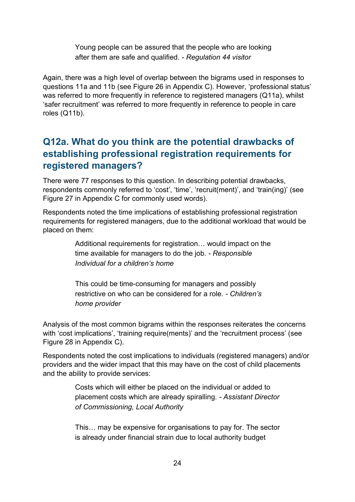Young people can be assured that the people who are looking after them are safe and qualified. *- Regulation 44 visitor*

Again, there was a high level of overlap between the bigrams used in responses to questions 11a and 11b (see [Figure 26](#page-59-1) in Appendix C). However, 'professional status' was referred to more frequently in reference to registered managers (Q11a), whilst 'safer recruitment' was referred to more frequently in reference to people in care roles (Q11b).

# **Q12a. What do you think are the potential drawbacks of establishing professional registration requirements for registered managers?**

There were 77 responses to this question. In describing potential drawbacks, respondents commonly referred to 'cost', 'time', 'recruit(ment)', and 'train(ing)' (see [Figure 27](#page-60-0) in Appendix C for commonly used words).

Respondents noted the time implications of establishing professional registration requirements for registered managers, due to the additional workload that would be placed on them:

> Additional requirements for registration… would impact on the time available for managers to do the job. *- Responsible Individual for a children's home*

This could be time-consuming for managers and possibly restrictive on who can be considered for a role. *- Children's home provider*

Analysis of the most common bigrams within the responses reiterates the concerns with 'cost implications', 'training require(ments)' and the 'recruitment process' (see [Figure 28](#page-60-1) in Appendix C).

Respondents noted the cost implications to individuals (registered managers) and/or providers and the wider impact that this may have on the cost of child placements and the ability to provide services:

> Costs which will either be placed on the individual or added to placement costs which are already spiralling. *- Assistant Director of Commissioning, Local Authority*

> This… may be expensive for organisations to pay for. The sector is already under financial strain due to local authority budget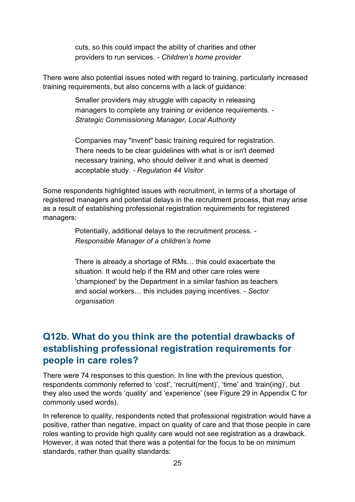cuts, so this could impact the ability of charities and other providers to run services. *- Children's home provider*

There were also potential issues noted with regard to training, particularly increased training requirements, but also concerns with a lack of guidance:

> Smaller providers may struggle with capacity in releasing managers to complete any training or evidence requirements. *- Strategic Commissioning Manager, Local Authority*

> Companies may "invent" basic training required for registration. There needs to be clear guidelines with what is or isn't deemed necessary training, who should deliver it and what is deemed acceptable study. *- Regulation 44 Visitor*

Some respondents highlighted issues with recruitment, in terms of a shortage of registered managers and potential delays in the recruitment process, that may arise as a result of establishing professional registration requirements for registered managers:

> Potentially, additional delays to the recruitment process. *- Responsible Manager of a children's home*

There is already a shortage of RMs… this could exacerbate the situation. It would help if the RM and other care roles were 'championed' by the Department in a similar fashion as teachers and social workers… this includes paying incentives. *- Sector organisation*

### **Q12b. What do you think are the potential drawbacks of establishing professional registration requirements for people in care roles?**

There were 74 responses to this question. In line with the previous question, respondents commonly referred to 'cost', 'recruit(ment)', 'time' and 'train(ing)', but they also used the words 'quality' and 'experience' (see [Figure 29](#page-61-0) in Appendix C for commonly used words).

In reference to quality, respondents noted that professional registration would have a positive, rather than negative, impact on quality of care and that those people in care roles wanting to provide high quality care would not see registration as a drawback. However, it was noted that there was a potential for the focus to be on minimum standards, rather than quality standards: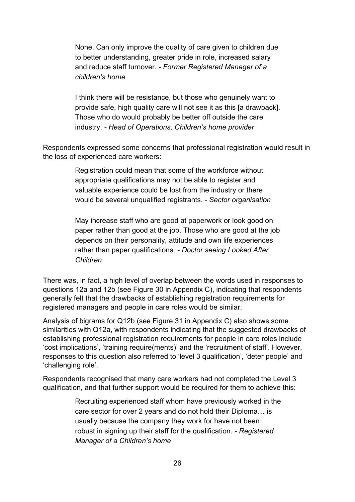None. Can only improve the quality of care given to children due to better understanding, greater pride in role, increased salary and reduce staff turnover. *- Former Registered Manager of a children's home*

I think there will be resistance, but those who genuinely want to provide safe, high quality care will not see it as this [a drawback]. Those who do would probably be better off outside the care industry. *- Head of Operations, Children's home provider*

Respondents expressed some concerns that professional registration would result in the loss of experienced care workers:

> Registration could mean that some of the workforce without appropriate qualifications may not be able to register and valuable experience could be lost from the industry or there would be several unqualified registrants. *- Sector organisation*

May increase staff who are good at paperwork or look good on paper rather than good at the job. Those who are good at the job depends on their personality, attitude and own life experiences rather than paper qualifications. *- Doctor seeing Looked After Children*

There was, in fact, a high level of overlap between the words used in responses to questions 12a and 12b (see [Figure 30](#page-61-1) in Appendix C), indicating that respondents generally felt that the drawbacks of establishing registration requirements for registered managers and people in care roles would be similar.

Analysis of bigrams for Q12b (see [Figure 31](#page-62-0) in Appendix C) also shows some similarities with Q12a, with respondents indicating that the suggested drawbacks of establishing professional registration requirements for people in care roles include 'cost implications', 'training require(ments)' and the 'recruitment of staff'. However, responses to this question also referred to 'level 3 qualification', 'deter people' and 'challenging role'.

Respondents recognised that many care workers had not completed the Level 3 qualification, and that further support would be required for them to achieve this:

> Recruiting experienced staff whom have previously worked in the care sector for over 2 years and do not hold their Diploma… is usually because the company they work for have not been robust in signing up their staff for the qualification. *- Registered Manager of a Children's home*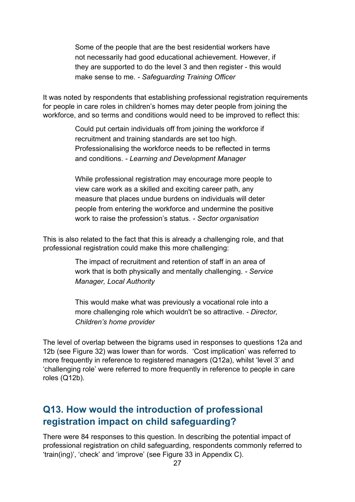Some of the people that are the best residential workers have not necessarily had good educational achievement. However, if they are supported to do the level 3 and then register - this would make sense to me. *- Safeguarding Training Officer*

It was noted by respondents that establishing professional registration requirements for people in care roles in children's homes may deter people from joining the workforce, and so terms and conditions would need to be improved to reflect this:

> Could put certain individuals off from joining the workforce if recruitment and training standards are set too high. Professionalising the workforce needs to be reflected in terms and conditions. *- Learning and Development Manager*

While professional registration may encourage more people to view care work as a skilled and exciting career path, any measure that places undue burdens on individuals will deter people from entering the workforce and undermine the positive work to raise the profession's status. *- Sector organisation*

This is also related to the fact that this is already a challenging role, and that professional registration could make this more challenging:

> The impact of recruitment and retention of staff in an area of work that is both physically and mentally challenging. *- Service Manager, Local Authority*

This would make what was previously a vocational role into a more challenging role which wouldn't be so attractive. *- Director, Children's home provider*

The level of overlap between the bigrams used in responses to questions 12a and 12b (see [Figure 32\)](#page-62-1) was lower than for words. 'Cost implication' was referred to more frequently in reference to registered managers (Q12a), whilst 'level 3' and 'challenging role' were referred to more frequently in reference to people in care roles (Q12b).

# **Q13. How would the introduction of professional registration impact on child safeguarding?**

There were 84 responses to this question. In describing the potential impact of professional registration on child safeguarding, respondents commonly referred to 'train(ing)', 'check' and 'improve' (see [Figure 33](#page-63-0) in Appendix C).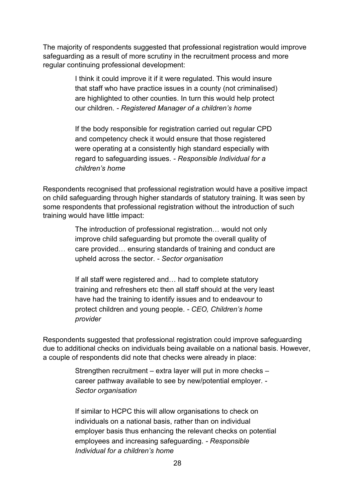The majority of respondents suggested that professional registration would improve safeguarding as a result of more scrutiny in the recruitment process and more regular continuing professional development:

> I think it could improve it if it were regulated. This would insure that staff who have practice issues in a county (not criminalised) are highlighted to other counties. In turn this would help protect our children. *- Registered Manager of a children's home*

If the body responsible for registration carried out regular CPD and competency check it would ensure that those registered were operating at a consistently high standard especially with regard to safeguarding issues. *- Responsible Individual for a children's home*

Respondents recognised that professional registration would have a positive impact on child safeguarding through higher standards of statutory training. It was seen by some respondents that professional registration without the introduction of such training would have little impact:

> The introduction of professional registration… would not only improve child safeguarding but promote the overall quality of care provided… ensuring standards of training and conduct are upheld across the sector. *- Sector organisation*

> If all staff were registered and… had to complete statutory training and refreshers etc then all staff should at the very least have had the training to identify issues and to endeavour to protect children and young people. *- CEO, Children's home provider*

Respondents suggested that professional registration could improve safeguarding due to additional checks on individuals being available on a national basis. However, a couple of respondents did note that checks were already in place:

> Strengthen recruitment – extra layer will put in more checks – career pathway available to see by new/potential employer. *- Sector organisation*

If similar to HCPC this will allow organisations to check on individuals on a national basis, rather than on individual employer basis thus enhancing the relevant checks on potential employees and increasing safeguarding. *- Responsible Individual for a children's home*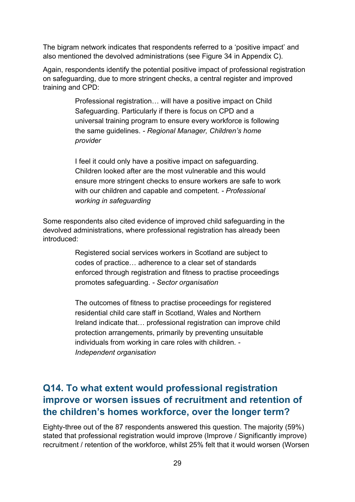The bigram network indicates that respondents referred to a 'positive impact' and also mentioned the devolved administrations (see [Figure 34](#page-63-1) in Appendix C).

Again, respondents identify the potential positive impact of professional registration on safeguarding, due to more stringent checks, a central register and improved training and CPD:

> Professional registration… will have a positive impact on Child Safeguarding. Particularly if there is focus on CPD and a universal training program to ensure every workforce is following the same guidelines. *- Regional Manager, Children's home provider*

> I feel it could only have a positive impact on safeguarding. Children looked after are the most vulnerable and this would ensure more stringent checks to ensure workers are safe to work with our children and capable and competent. *- Professional working in safeguarding*

Some respondents also cited evidence of improved child safeguarding in the devolved administrations, where professional registration has already been introduced:

> Registered social services workers in Scotland are subject to codes of practice… adherence to a clear set of standards enforced through registration and fitness to practise proceedings promotes safeguarding. *- Sector organisation*

> The outcomes of fitness to practise proceedings for registered residential child care staff in Scotland, Wales and Northern Ireland indicate that… professional registration can improve child protection arrangements, primarily by preventing unsuitable individuals from working in care roles with children. *- Independent organisation*

# **Q14. To what extent would professional registration improve or worsen issues of recruitment and retention of the children's homes workforce, over the longer term?**

Eighty-three out of the 87 respondents answered this question. The majority (59%) stated that professional registration would improve (Improve / Significantly improve) recruitment / retention of the workforce, whilst 25% felt that it would worsen (Worsen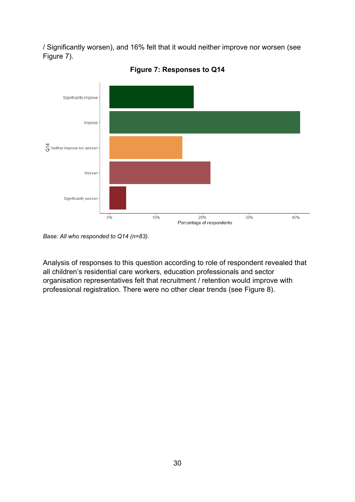/ Significantly worsen), and 16% felt that it would neither improve nor worsen (see [Figure 7\)](#page-29-0).

<span id="page-29-0"></span>

**Figure 7: Responses to Q14**

Analysis of responses to this question according to role of respondent revealed that all children's residential care workers, education professionals and sector organisation representatives felt that recruitment / retention would improve with professional registration. There were no other clear trends (see [Figure 8\)](#page-30-0).

*Base: All who responded to Q14 (n=83).*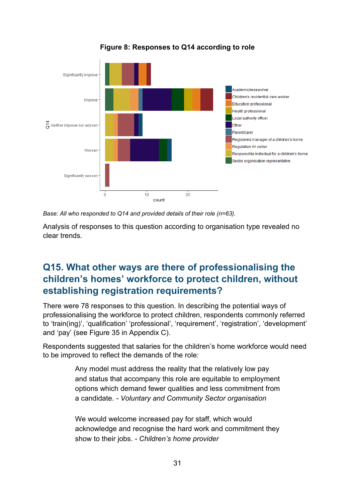<span id="page-30-0"></span>

**Figure 8: Responses to Q14 according to role**

*Base: All who responded to Q14 and provided details of their role (n=63).* 

Analysis of responses to this question according to organisation type revealed no clear trends.

# **Q15. What other ways are there of professionalising the children's homes' workforce to protect children, without establishing registration requirements?**

There were 78 responses to this question. In describing the potential ways of professionalising the workforce to protect children, respondents commonly referred to 'train(ing)', 'qualification' 'professional', 'requirement', 'registration', 'development' and 'pay' (see [Figure 35](#page-64-0) in Appendix C).

Respondents suggested that salaries for the children's home workforce would need to be improved to reflect the demands of the role:

> Any model must address the reality that the relatively low pay and status that accompany this role are equitable to employment options which demand fewer qualities and less commitment from a candidate. *- Voluntary and Community Sector organisation*

> We would welcome increased pay for staff, which would acknowledge and recognise the hard work and commitment they show to their jobs. *- Children's home provider*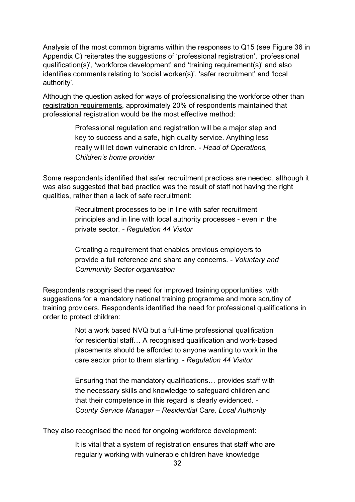Analysis of the most common bigrams within the responses to Q15 (see [Figure 36](#page-64-1) in Appendix C) reiterates the suggestions of 'professional registration', 'professional qualification(s)', 'workforce development' and 'training requirement(s)' and also identifies comments relating to 'social worker(s)', 'safer recruitment' and 'local authority'.

Although the question asked for ways of professionalising the workforce other than registration requirements, approximately 20% of respondents maintained that professional registration would be the most effective method:

> Professional regulation and registration will be a major step and key to success and a safe, high quality service. Anything less really will let down vulnerable children. *- Head of Operations, Children's home provider*

Some respondents identified that safer recruitment practices are needed, although it was also suggested that bad practice was the result of staff not having the right qualities, rather than a lack of safe recruitment:

> Recruitment processes to be in line with safer recruitment principles and in line with local authority processes - even in the private sector. *- Regulation 44 Visitor*

Creating a requirement that enables previous employers to provide a full reference and share any concerns. *- Voluntary and Community Sector organisation*

Respondents recognised the need for improved training opportunities, with suggestions for a mandatory national training programme and more scrutiny of training providers. Respondents identified the need for professional qualifications in order to protect children:

> Not a work based NVQ but a full-time professional qualification for residential staff… A recognised qualification and work-based placements should be afforded to anyone wanting to work in the care sector prior to them starting. *- Regulation 44 Visitor*

Ensuring that the mandatory qualifications… provides staff with the necessary skills and knowledge to safeguard children and that their competence in this regard is clearly evidenced. *- County Service Manager – Residential Care, Local Authority*

They also recognised the need for ongoing workforce development:

It is vital that a system of registration ensures that staff who are regularly working with vulnerable children have knowledge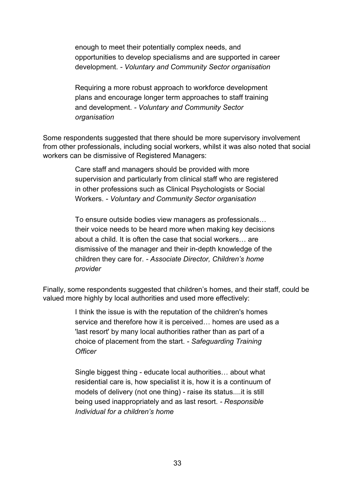enough to meet their potentially complex needs, and opportunities to develop specialisms and are supported in career development. *- Voluntary and Community Sector organisation*

Requiring a more robust approach to workforce development plans and encourage longer term approaches to staff training and development. *- Voluntary and Community Sector organisation*

Some respondents suggested that there should be more supervisory involvement from other professionals, including social workers, whilst it was also noted that social workers can be dismissive of Registered Managers:

> Care staff and managers should be provided with more supervision and particularly from clinical staff who are registered in other professions such as Clinical Psychologists or Social Workers. *- Voluntary and Community Sector organisation*

To ensure outside bodies view managers as professionals… their voice needs to be heard more when making key decisions about a child. It is often the case that social workers… are dismissive of the manager and their in-depth knowledge of the children they care for. *- Associate Director, Children's home provider*

Finally, some respondents suggested that children's homes, and their staff, could be valued more highly by local authorities and used more effectively:

> I think the issue is with the reputation of the children's homes service and therefore how it is perceived… homes are used as a 'last resort' by many local authorities rather than as part of a choice of placement from the start. *- Safeguarding Training Officer*

Single biggest thing - educate local authorities… about what residential care is, how specialist it is, how it is a continuum of models of delivery (not one thing) - raise its status....it is still being used inappropriately and as last resort. *- Responsible Individual for a children's home*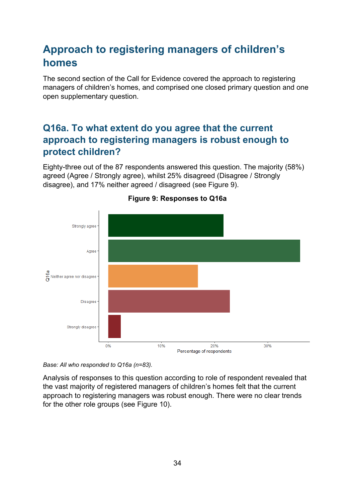# **Approach to registering managers of children's homes**

The second section of the Call for Evidence covered the approach to registering managers of children's homes, and comprised one closed primary question and one open supplementary question.

# **Q16a. To what extent do you agree that the current approach to registering managers is robust enough to protect children?**

Eighty-three out of the 87 respondents answered this question. The majority (58%) agreed (Agree / Strongly agree), whilst 25% disagreed (Disagree / Strongly disagree), and 17% neither agreed / disagreed (see [Figure 9\)](#page-33-0).

<span id="page-33-0"></span>

#### **Figure 9: Responses to Q16a**

*Base: All who responded to Q16a (n=83).* 

Analysis of responses to this question according to role of respondent revealed that the vast majority of registered managers of children's homes felt that the current approach to registering managers was robust enough. There were no clear trends for the other role groups (see [Figure 10\)](#page-34-0).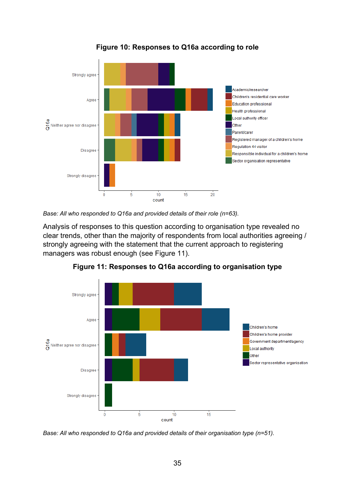<span id="page-34-0"></span>

**Figure 10: Responses to Q16a according to role**

*Base: All who responded to Q16a and provided details of their role (n=63).* 

Analysis of responses to this question according to organisation type revealed no clear trends, other than the majority of respondents from local authorities agreeing / strongly agreeing with the statement that the current approach to registering managers was robust enough (see [Figure 11\)](#page-34-1).

<span id="page-34-1"></span>

**Figure 11: Responses to Q16a according to organisation type**

*Base: All who responded to Q16a and provided details of their organisation type (n=51).*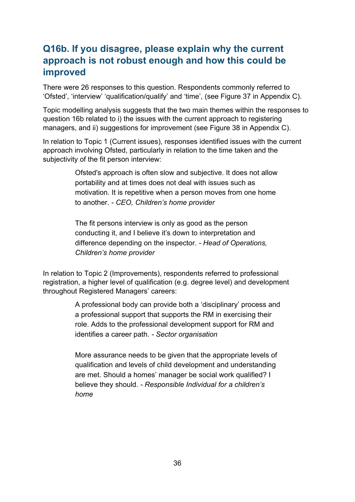# **Q16b. If you disagree, please explain why the current approach is not robust enough and how this could be improved**

There were 26 responses to this question. Respondents commonly referred to 'Ofsted', 'interview' 'qualification/qualify' and 'time', (see [Figure 37](#page-65-0) in Appendix C).

Topic modelling analysis suggests that the two main themes within the responses to question 16b related to i) the issues with the current approach to registering managers, and ii) suggestions for improvement (see [Figure 38](#page-65-1) in Appendix C).

In relation to Topic 1 (Current issues), responses identified issues with the current approach involving Ofsted, particularly in relation to the time taken and the subjectivity of the fit person interview:

> Ofsted's approach is often slow and subjective. It does not allow portability and at times does not deal with issues such as motivation. It is repetitive when a person moves from one home to another. *- CEO, Children's home provider*

The fit persons interview is only as good as the person conducting it, and I believe it's down to interpretation and difference depending on the inspector. *- Head of Operations, Children's home provider*

In relation to Topic 2 (Improvements), respondents referred to professional registration, a higher level of qualification (e.g. degree level) and development throughout Registered Managers' careers:

> A professional body can provide both a 'disciplinary' process and a professional support that supports the RM in exercising their role. Adds to the professional development support for RM and identifies a career path. *- Sector organisation*

More assurance needs to be given that the appropriate levels of qualification and levels of child development and understanding are met. Should a homes' manager be social work qualified? I believe they should. *- Responsible Individual for a children's home*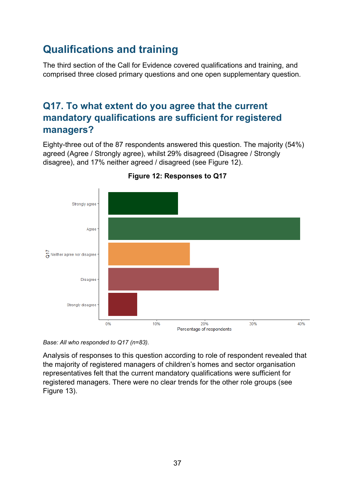# **Qualifications and training**

The third section of the Call for Evidence covered qualifications and training, and comprised three closed primary questions and one open supplementary question.

# **Q17. To what extent do you agree that the current mandatory qualifications are sufficient for registered managers?**

Eighty-three out of the 87 respondents answered this question. The majority (54%) agreed (Agree / Strongly agree), whilst 29% disagreed (Disagree / Strongly disagree), and 17% neither agreed / disagreed (see [Figure 12\)](#page-36-0).

<span id="page-36-0"></span>

**Figure 12: Responses to Q17**

*Base: All who responded to Q17 (n=83).* 

Analysis of responses to this question according to role of respondent revealed that the majority of registered managers of children's homes and sector organisation representatives felt that the current mandatory qualifications were sufficient for registered managers. There were no clear trends for the other role groups (see [Figure 13\)](#page-37-0).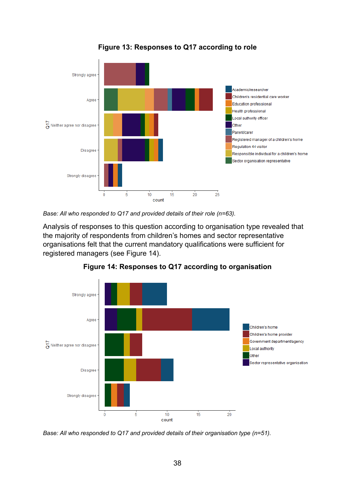<span id="page-37-0"></span>

**Figure 13: Responses to Q17 according to role**

*Base: All who responded to Q17 and provided details of their role (n=63).* 

Analysis of responses to this question according to organisation type revealed that the majority of respondents from children's homes and sector representative organisations felt that the current mandatory qualifications were sufficient for registered managers (see [Figure 14\)](#page-37-1).

<span id="page-37-1"></span>

**Figure 14: Responses to Q17 according to organisation**

*Base: All who responded to Q17 and provided details of their organisation type (n=51).*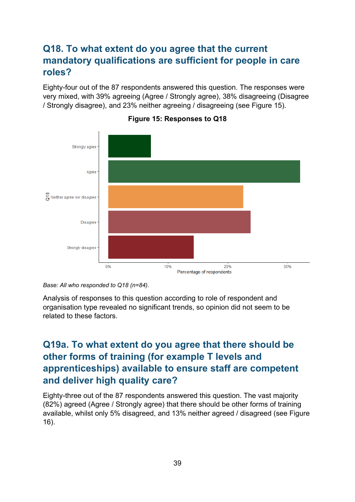# **Q18. To what extent do you agree that the current mandatory qualifications are sufficient for people in care roles?**

Eighty-four out of the 87 respondents answered this question. The responses were very mixed, with 39% agreeing (Agree / Strongly agree), 38% disagreeing (Disagree / Strongly disagree), and 23% neither agreeing / disagreeing (see [Figure 15\)](#page-38-0).

<span id="page-38-0"></span>



Analysis of responses to this question according to role of respondent and organisation type revealed no significant trends, so opinion did not seem to be related to these factors.

# **Q19a. To what extent do you agree that there should be other forms of training (for example T levels and apprenticeships) available to ensure staff are competent and deliver high quality care?**

Eighty-three out of the 87 respondents answered this question. The vast majority (82%) agreed (Agree / Strongly agree) that there should be other forms of training available, whilst only 5% disagreed, and 13% neither agreed / disagreed (see [Figure](#page-39-0)  [16\)](#page-39-0).

*Base: All who responded to Q18 (n=84).*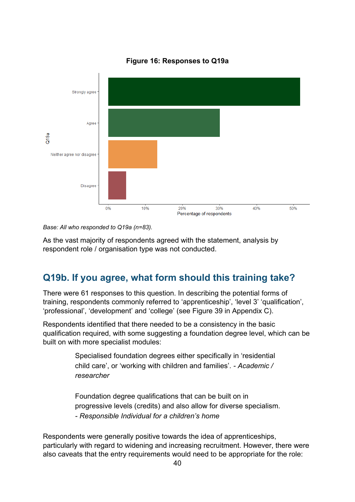<span id="page-39-0"></span>

**Figure 16: Responses to Q19a**

*Base: All who responded to Q19a (n=83).* 

As the vast majority of respondents agreed with the statement, analysis by respondent role / organisation type was not conducted.

### **Q19b. If you agree, what form should this training take?**

There were 61 responses to this question. In describing the potential forms of training, respondents commonly referred to 'apprenticeship', 'level 3' 'qualification', 'professional', 'development' and 'college' (see [Figure 39](#page-66-0) in Appendix C).

Respondents identified that there needed to be a consistency in the basic qualification required, with some suggesting a foundation degree level, which can be built on with more specialist modules:

> Specialised foundation degrees either specifically in 'residential child care', or 'working with children and families'. *- Academic / researcher*

Foundation degree qualifications that can be built on in progressive levels (credits) and also allow for diverse specialism. *- Responsible Individual for a children's home*

Respondents were generally positive towards the idea of apprenticeships, particularly with regard to widening and increasing recruitment. However, there were also caveats that the entry requirements would need to be appropriate for the role: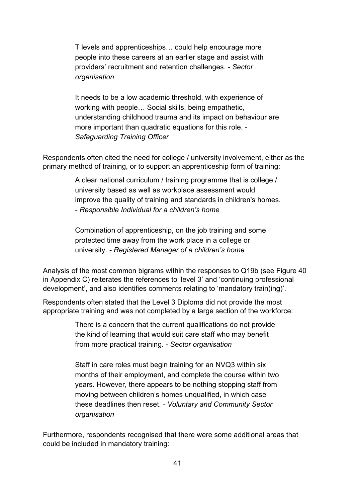T levels and apprenticeships… could help encourage more people into these careers at an earlier stage and assist with providers' recruitment and retention challenges. *- Sector organisation*

It needs to be a low academic threshold, with experience of working with people… Social skills, being empathetic, understanding childhood trauma and its impact on behaviour are more important than quadratic equations for this role. *- Safeguarding Training Officer*

Respondents often cited the need for college / university involvement, either as the primary method of training, or to support an apprenticeship form of training:

> A clear national curriculum / training programme that is college / university based as well as workplace assessment would improve the quality of training and standards in children's homes. *- Responsible Individual for a children's home*

Combination of apprenticeship, on the job training and some protected time away from the work place in a college or university. *- Registered Manager of a children's home*

Analysis of the most common bigrams within the responses to Q19b (see [Figure 40](#page-66-1) in Appendix C) reiterates the references to 'level 3' and 'continuing professional development', and also identifies comments relating to 'mandatory train(ing)'.

Respondents often stated that the Level 3 Diploma did not provide the most appropriate training and was not completed by a large section of the workforce:

> There is a concern that the current qualifications do not provide the kind of learning that would suit care staff who may benefit from more practical training. *- Sector organisation*

Staff in care roles must begin training for an NVQ3 within six months of their employment, and complete the course within two years. However, there appears to be nothing stopping staff from moving between children's homes unqualified, in which case these deadlines then reset. *- Voluntary and Community Sector organisation*

Furthermore, respondents recognised that there were some additional areas that could be included in mandatory training: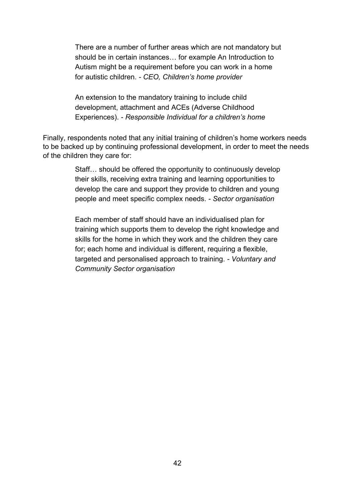There are a number of further areas which are not mandatory but should be in certain instances… for example An Introduction to Autism might be a requirement before you can work in a home for autistic children. *- CEO, Children's home provider*

An extension to the mandatory training to include child development, attachment and ACEs (Adverse Childhood Experiences). *- Responsible Individual for a children's home*

Finally, respondents noted that any initial training of children's home workers needs to be backed up by continuing professional development, in order to meet the needs of the children they care for:

> Staff… should be offered the opportunity to continuously develop their skills, receiving extra training and learning opportunities to develop the care and support they provide to children and young people and meet specific complex needs. *- Sector organisation*

> Each member of staff should have an individualised plan for training which supports them to develop the right knowledge and skills for the home in which they work and the children they care for; each home and individual is different, requiring a flexible, targeted and personalised approach to training. *- Voluntary and Community Sector organisation*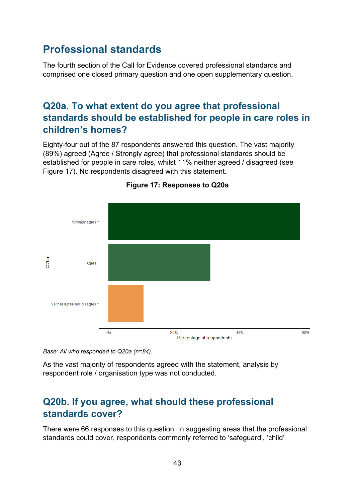# **Professional standards**

The fourth section of the Call for Evidence covered professional standards and comprised one closed primary question and one open supplementary question.

### **Q20a. To what extent do you agree that professional standards should be established for people in care roles in children's homes?**

Eighty-four out of the 87 respondents answered this question. The vast majority (89%) agreed (Agree / Strongly agree) that professional standards should be established for people in care roles, whilst 11% neither agreed / disagreed (see [Figure 17\)](#page-42-0). No respondents disagreed with this statement.

<span id="page-42-0"></span>

#### **Figure 17: Responses to Q20a**

*Base: All who responded to Q20a (n=84).* 

As the vast majority of respondents agreed with the statement, analysis by respondent role / organisation type was not conducted.

### **Q20b. If you agree, what should these professional standards cover?**

There were 66 responses to this question. In suggesting areas that the professional standards could cover, respondents commonly referred to 'safeguard', 'child'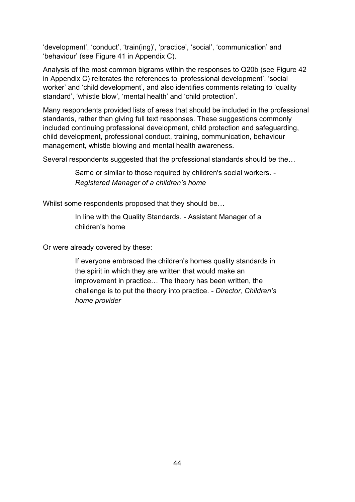'development', 'conduct', 'train(ing)', 'practice', 'social', 'communication' and 'behaviour' (see [Figure 41](#page-67-0) in Appendix C).

Analysis of the most common bigrams within the responses to Q20b (see [Figure 42](#page-67-1) in Appendix C) reiterates the references to 'professional development', 'social worker' and 'child development', and also identifies comments relating to 'quality standard', 'whistle blow', 'mental health' and 'child protection'.

Many respondents provided lists of areas that should be included in the professional standards, rather than giving full text responses. These suggestions commonly included continuing professional development, child protection and safeguarding, child development, professional conduct, training, communication, behaviour management, whistle blowing and mental health awareness.

Several respondents suggested that the professional standards should be the…

Same or similar to those required by children's social workers. *- Registered Manager of a children's home*

Whilst some respondents proposed that they should be...

In line with the Quality Standards. - Assistant Manager of a children's home

Or were already covered by these:

If everyone embraced the children's homes quality standards in the spirit in which they are written that would make an improvement in practice… The theory has been written, the challenge is to put the theory into practice. *- Director, Children's home provider*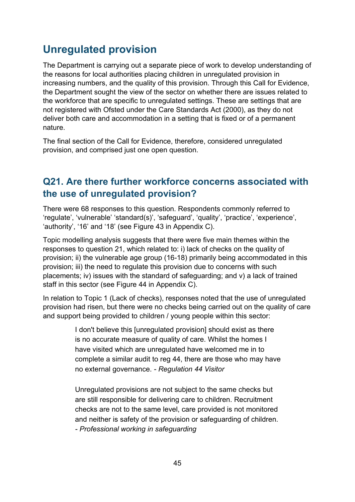# **Unregulated provision**

The Department is carrying out a separate piece of work to develop understanding of the reasons for local authorities placing children in unregulated provision in increasing numbers, and the quality of this provision. Through this Call for Evidence, the Department sought the view of the sector on whether there are issues related to the workforce that are specific to unregulated settings. These are settings that are not registered with Ofsted under the Care Standards Act (2000), as they do not deliver both care and accommodation in a setting that is fixed or of a permanent nature.

The final section of the Call for Evidence, therefore, considered unregulated provision, and comprised just one open question.

### **Q21. Are there further workforce concerns associated with the use of unregulated provision?**

There were 68 responses to this question. Respondents commonly referred to 'regulate', 'vulnerable' 'standard(s)', 'safeguard', 'quality', 'practice', 'experience', 'authority', '16' and '18' (see [Figure 43](#page-68-0) in Appendix C).

Topic modelling analysis suggests that there were five main themes within the responses to question 21, which related to: i) lack of checks on the quality of provision; ii) the vulnerable age group (16-18) primarily being accommodated in this provision; iii) the need to regulate this provision due to concerns with such placements; iv) issues with the standard of safeguarding; and v) a lack of trained staff in this sector (see [Figure 44](#page-68-1) in Appendix C).

In relation to Topic 1 (Lack of checks), responses noted that the use of unregulated provision had risen, but there were no checks being carried out on the quality of care and support being provided to children / young people within this sector:

> I don't believe this [unregulated provision] should exist as there is no accurate measure of quality of care. Whilst the homes I have visited which are unregulated have welcomed me in to complete a similar audit to reg 44, there are those who may have no external governance. *- Regulation 44 Visitor*

Unregulated provisions are not subject to the same checks but are still responsible for delivering care to children. Recruitment checks are not to the same level, care provided is not monitored and neither is safety of the provision or safeguarding of children. *- Professional working in safeguarding*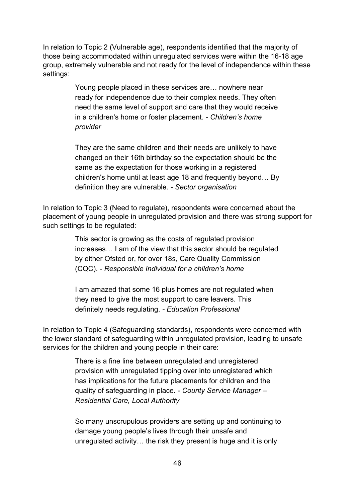In relation to Topic 2 (Vulnerable age), respondents identified that the majority of those being accommodated within unregulated services were within the 16-18 age group, extremely vulnerable and not ready for the level of independence within these settings:

> Young people placed in these services are… nowhere near ready for independence due to their complex needs. They often need the same level of support and care that they would receive in a children's home or foster placement. *- Children's home provider*

> They are the same children and their needs are unlikely to have changed on their 16th birthday so the expectation should be the same as the expectation for those working in a registered children's home until at least age 18 and frequently beyond… By definition they are vulnerable. *- Sector organisation*

In relation to Topic 3 (Need to regulate), respondents were concerned about the placement of young people in unregulated provision and there was strong support for such settings to be regulated:

> This sector is growing as the costs of regulated provision increases… I am of the view that this sector should be regulated by either Ofsted or, for over 18s, Care Quality Commission (CQC). *- Responsible Individual for a children's home*

I am amazed that some 16 plus homes are not regulated when they need to give the most support to care leavers. This definitely needs regulating. *- Education Professional*

In relation to Topic 4 (Safeguarding standards), respondents were concerned with the lower standard of safeguarding within unregulated provision, leading to unsafe services for the children and young people in their care:

> There is a fine line between unregulated and unregistered provision with unregulated tipping over into unregistered which has implications for the future placements for children and the quality of safeguarding in place. *- County Service Manager – Residential Care, Local Authority*

So many unscrupulous providers are setting up and continuing to damage young people's lives through their unsafe and unregulated activity… the risk they present is huge and it is only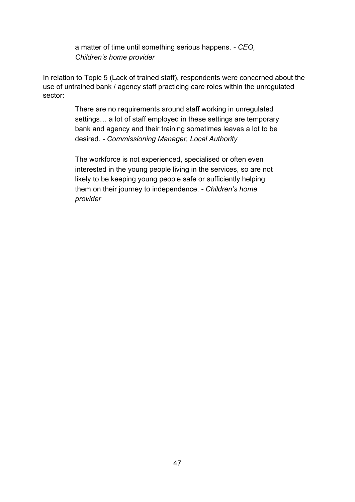a matter of time until something serious happens. *- CEO, Children's home provider*

In relation to Topic 5 (Lack of trained staff), respondents were concerned about the use of untrained bank / agency staff practicing care roles within the unregulated sector:

> There are no requirements around staff working in unregulated settings… a lot of staff employed in these settings are temporary bank and agency and their training sometimes leaves a lot to be desired. *- Commissioning Manager, Local Authority*

The workforce is not experienced, specialised or often even interested in the young people living in the services, so are not likely to be keeping young people safe or sufficiently helping them on their journey to independence. *- Children's home provider*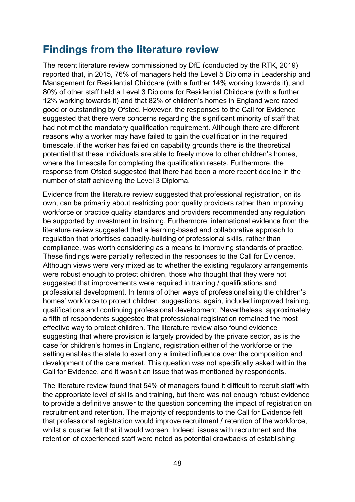# **Findings from the literature review**

The recent literature review commissioned by DfE (conducted by the RTK, 2019) reported that, in 2015, 76% of managers held the Level 5 Diploma in Leadership and Management for Residential Childcare (with a further 14% working towards it), and 80% of other staff held a Level 3 Diploma for Residential Childcare (with a further 12% working towards it) and that 82% of children's homes in England were rated good or outstanding by Ofsted. However, the responses to the Call for Evidence suggested that there were concerns regarding the significant minority of staff that had not met the mandatory qualification requirement. Although there are different reasons why a worker may have failed to gain the qualification in the required timescale, if the worker has failed on capability grounds there is the theoretical potential that these individuals are able to freely move to other children's homes, where the timescale for completing the qualification resets. Furthermore, the response from Ofsted suggested that there had been a more recent decline in the number of staff achieving the Level 3 Diploma.

Evidence from the literature review suggested that professional registration, on its own, can be primarily about restricting poor quality providers rather than improving workforce or practice quality standards and providers recommended any regulation be supported by investment in training. Furthermore, international evidence from the literature review suggested that a learning-based and collaborative approach to regulation that prioritises capacity-building of professional skills, rather than compliance, was worth considering as a means to improving standards of practice. These findings were partially reflected in the responses to the Call for Evidence. Although views were very mixed as to whether the existing regulatory arrangements were robust enough to protect children, those who thought that they were not suggested that improvements were required in training / qualifications and professional development. In terms of other ways of professionalising the children's homes' workforce to protect children, suggestions, again, included improved training, qualifications and continuing professional development. Nevertheless, approximately a fifth of respondents suggested that professional registration remained the most effective way to protect children. The literature review also found evidence suggesting that where provision is largely provided by the private sector, as is the case for children's homes in England, registration either of the workforce or the setting enables the state to exert only a limited influence over the composition and development of the care market. This question was not specifically asked within the Call for Evidence, and it wasn't an issue that was mentioned by respondents.

The literature review found that 54% of managers found it difficult to recruit staff with the appropriate level of skills and training, but there was not enough robust evidence to provide a definitive answer to the question concerning the impact of registration on recruitment and retention. The majority of respondents to the Call for Evidence felt that professional registration would improve recruitment / retention of the workforce, whilst a quarter felt that it would worsen. Indeed, issues with recruitment and the retention of experienced staff were noted as potential drawbacks of establishing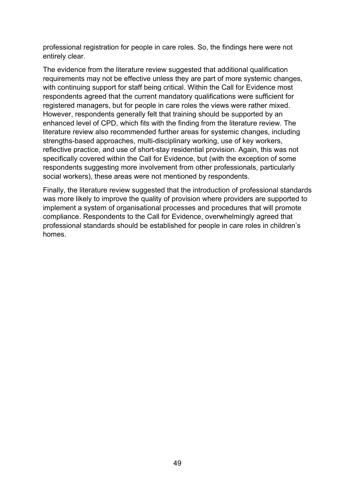professional registration for people in care roles. So, the findings here were not entirely clear.

The evidence from the literature review suggested that additional qualification requirements may not be effective unless they are part of more systemic changes, with continuing support for staff being critical. Within the Call for Evidence most respondents agreed that the current mandatory qualifications were sufficient for registered managers, but for people in care roles the views were rather mixed. However, respondents generally felt that training should be supported by an enhanced level of CPD, which fits with the finding from the literature review. The literature review also recommended further areas for systemic changes, including strengths-based approaches, multi-disciplinary working, use of key workers, reflective practice, and use of short-stay residential provision. Again, this was not specifically covered within the Call for Evidence, but (with the exception of some respondents suggesting more involvement from other professionals, particularly social workers), these areas were not mentioned by respondents.

Finally, the literature review suggested that the introduction of professional standards was more likely to improve the quality of provision where providers are supported to implement a system of organisational processes and procedures that will promote compliance. Respondents to the Call for Evidence, overwhelmingly agreed that professional standards should be established for people in care roles in children's homes.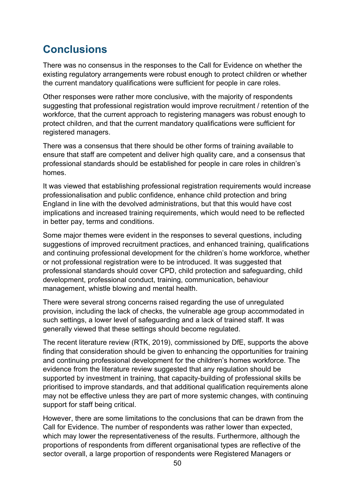# **Conclusions**

There was no consensus in the responses to the Call for Evidence on whether the existing regulatory arrangements were robust enough to protect children or whether the current mandatory qualifications were sufficient for people in care roles.

Other responses were rather more conclusive, with the majority of respondents suggesting that professional registration would improve recruitment / retention of the workforce, that the current approach to registering managers was robust enough to protect children, and that the current mandatory qualifications were sufficient for registered managers.

There was a consensus that there should be other forms of training available to ensure that staff are competent and deliver high quality care, and a consensus that professional standards should be established for people in care roles in children's homes.

It was viewed that establishing professional registration requirements would increase professionalisation and public confidence, enhance child protection and bring England in line with the devolved administrations, but that this would have cost implications and increased training requirements, which would need to be reflected in better pay, terms and conditions.

Some major themes were evident in the responses to several questions, including suggestions of improved recruitment practices, and enhanced training, qualifications and continuing professional development for the children's home workforce, whether or not professional registration were to be introduced. It was suggested that professional standards should cover CPD, child protection and safeguarding, child development, professional conduct, training, communication, behaviour management, whistle blowing and mental health.

There were several strong concerns raised regarding the use of unregulated provision, including the lack of checks, the vulnerable age group accommodated in such settings, a lower level of safeguarding and a lack of trained staff. It was generally viewed that these settings should become regulated.

The recent literature review (RTK, 2019), commissioned by DfE, supports the above finding that consideration should be given to enhancing the opportunities for training and continuing professional development for the children's homes workforce. The evidence from the literature review suggested that any regulation should be supported by investment in training, that capacity-building of professional skills be prioritised to improve standards, and that additional qualification requirements alone may not be effective unless they are part of more systemic changes, with continuing support for staff being critical.

However, there are some limitations to the conclusions that can be drawn from the Call for Evidence. The number of respondents was rather lower than expected, which may lower the representativeness of the results. Furthermore, although the proportions of respondents from different organisational types are reflective of the sector overall, a large proportion of respondents were Registered Managers or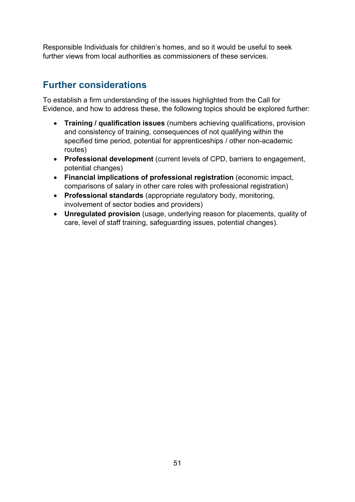Responsible Individuals for children's homes, and so it would be useful to seek further views from local authorities as commissioners of these services.

# **Further considerations**

To establish a firm understanding of the issues highlighted from the Call for Evidence, and how to address these, the following topics should be explored further:

- **Training / qualification issues** (numbers achieving qualifications, provision and consistency of training, consequences of not qualifying within the specified time period, potential for apprenticeships / other non-academic routes)
- **Professional development** (current levels of CPD, barriers to engagement, potential changes)
- **Financial implications of professional registration** (economic impact, comparisons of salary in other care roles with professional registration)
- **Professional standards** (appropriate regulatory body, monitoring, involvement of sector bodies and providers)
- **Unregulated provision** (usage, underlying reason for placements, quality of care, level of staff training, safeguarding issues, potential changes).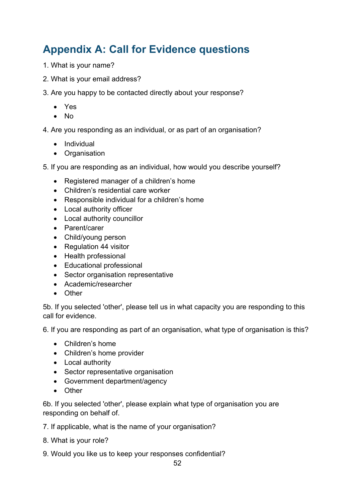# **Appendix A: Call for Evidence questions**

- 1. What is your name?
- 2. What is your email address?
- 3. Are you happy to be contacted directly about your response?
	- Yes
	- No
- 4. Are you responding as an individual, or as part of an organisation?
	- Individual
	- Organisation
- 5. If you are responding as an individual, how would you describe yourself?
	- Registered manager of a children's home
	- Children's residential care worker
	- Responsible individual for a children's home
	- Local authority officer
	- Local authority councillor
	- Parent/carer
	- Child/young person
	- Regulation 44 visitor
	- Health professional
	- Educational professional
	- Sector organisation representative
	- Academic/researcher
	- Other

5b. If you selected 'other', please tell us in what capacity you are responding to this call for evidence.

6. If you are responding as part of an organisation, what type of organisation is this?

- Children's home
- Children's home provider
- Local authority
- Sector representative organisation
- Government department/agency
- Other

6b. If you selected 'other', please explain what type of organisation you are responding on behalf of.

- 7. If applicable, what is the name of your organisation?
- 8. What is your role?
- 9. Would you like us to keep your responses confidential?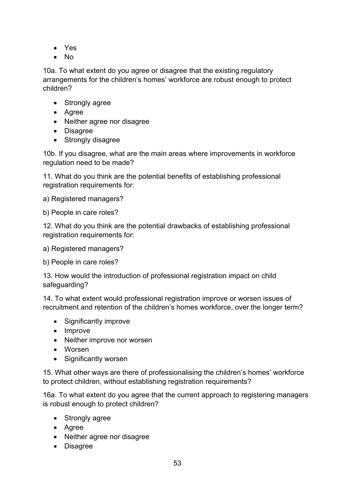- Yes
- No

10a. To what extent do you agree or disagree that the existing regulatory arrangements for the children's homes' workforce are robust enough to protect children?

- Strongly agree
- Agree
- Neither agree nor disagree
- Disagree
- Strongly disagree

10b. If you disagree, what are the main areas where improvements in workforce regulation need to be made?

11. What do you think are the potential benefits of establishing professional registration requirements for:

a) Registered managers?

b) People in care roles?

12. What do you think are the potential drawbacks of establishing professional registration requirements for:

a) Registered managers?

b) People in care roles?

13. How would the introduction of professional registration impact on child safeguarding?

14. To what extent would professional registration improve or worsen issues of recruitment and retention of the children's homes workforce, over the longer term?

- Significantly improve
- Improve
- Neither improve nor worsen
- Worsen
- Significantly worsen

15. What other ways are there of professionalising the children's homes' workforce to protect children, without establishing registration requirements?

16a. To what extent do you agree that the current approach to registering managers is robust enough to protect children?

- Strongly agree
- Agree
- Neither agree nor disagree
- Disagree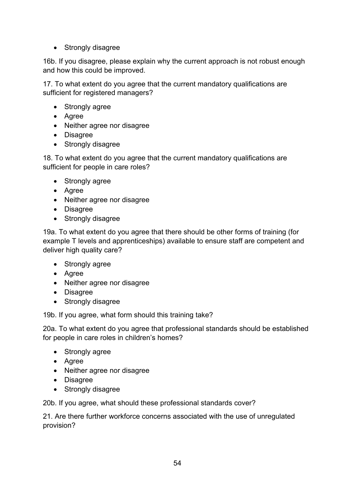• Strongly disagree

16b. If you disagree, please explain why the current approach is not robust enough and how this could be improved.

17. To what extent do you agree that the current mandatory qualifications are sufficient for registered managers?

- Strongly agree
- Agree
- Neither agree nor disagree
- Disagree
- Strongly disagree

18. To what extent do you agree that the current mandatory qualifications are sufficient for people in care roles?

- Strongly agree
- Agree
- Neither agree nor disagree
- Disagree
- Strongly disagree

19a. To what extent do you agree that there should be other forms of training (for example T levels and apprenticeships) available to ensure staff are competent and deliver high quality care?

- Strongly agree
- Agree
- Neither agree nor disagree
- Disagree
- Strongly disagree

19b. If you agree, what form should this training take?

20a. To what extent do you agree that professional standards should be established for people in care roles in children's homes?

- Strongly agree
- Agree
- Neither agree nor disagree
- Disagree
- Strongly disagree

20b. If you agree, what should these professional standards cover?

21. Are there further workforce concerns associated with the use of unregulated provision?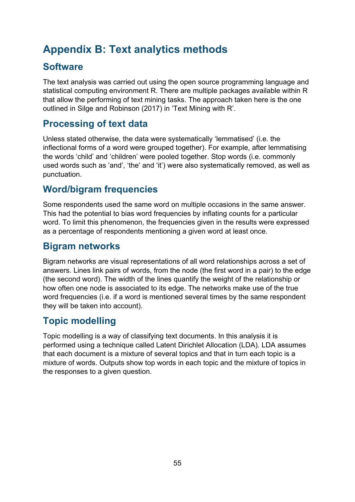# **Appendix B: Text analytics methods**

# **Software**

The text analysis was carried out using the open source programming language and statistical computing environment R. There are multiple packages available within R that allow the performing of text mining tasks. The approach taken here is the one outlined in Silge and Robinson (2017) in 'Text Mining with R'.

# **Processing of text data**

Unless stated otherwise, the data were systematically 'lemmatised' (i.e. the inflectional forms of a word were grouped together). For example, after lemmatising the words 'child' and 'children' were pooled together. Stop words (i.e. commonly used words such as 'and', 'the' and 'it') were also systematically removed, as well as punctuation.

# **Word/bigram frequencies**

Some respondents used the same word on multiple occasions in the same answer. This had the potential to bias word frequencies by inflating counts for a particular word. To limit this phenomenon, the frequencies given in the results were expressed as a percentage of respondents mentioning a given word at least once.

# **Bigram networks**

Bigram networks are visual representations of all word relationships across a set of answers. Lines link pairs of words, from the node (the first word in a pair) to the edge (the second word). The width of the lines quantify the weight of the relationship or how often one node is associated to its edge. The networks make use of the true word frequencies (i.e. if a word is mentioned several times by the same respondent they will be taken into account).

# **Topic modelling**

Topic modelling is a way of classifying text documents. In this analysis it is performed using a technique called Latent Dirichlet Allocation (LDA). LDA assumes that each document is a mixture of several topics and that in turn each topic is a mixture of words. Outputs show top words in each topic and the mixture of topics in the responses to a given question.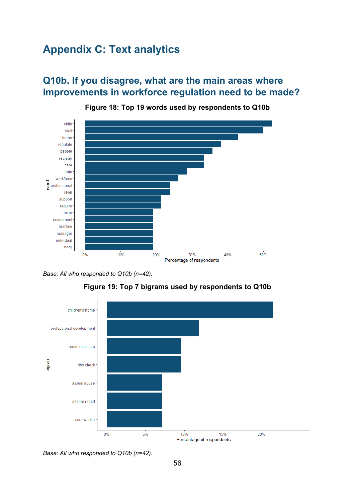# **Appendix C: Text analytics**

# **Q10b. If you disagree, what are the main areas where improvements in workforce regulation need to be made?**

<span id="page-55-0"></span>





<span id="page-55-1"></span>



*Base: All who responded to Q10b (n=42).*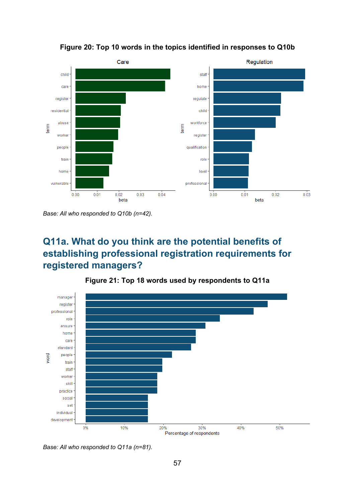<span id="page-56-0"></span>

**Figure 20: Top 10 words in the topics identified in responses to Q10b**

*Base: All who responded to Q10b (n=42).* 

# **Q11a. What do you think are the potential benefits of establishing professional registration requirements for registered managers?**

<span id="page-56-1"></span>

**Figure 21: Top 18 words used by respondents to Q11a**

*Base: All who responded to Q11a (n=81).*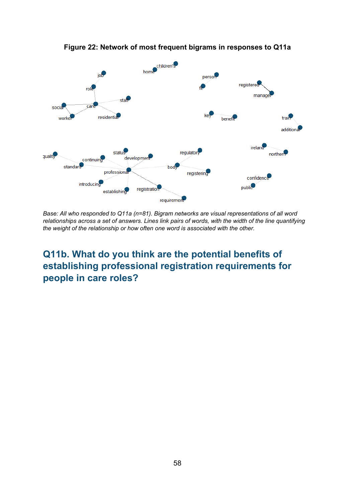<span id="page-57-0"></span>

**Figure 22: Network of most frequent bigrams in responses to Q11a**

*Base: All who responded to Q11a (n=81). Bigram networks are visual representations of all word relationships across a set of answers. Lines link pairs of words, with the width of the line quantifying the weight of the relationship or how often one word is associated with the other.*

**Q11b. What do you think are the potential benefits of establishing professional registration requirements for people in care roles?**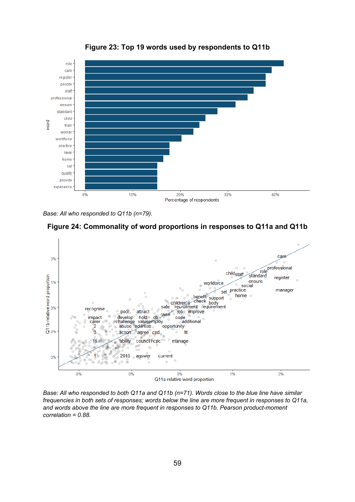<span id="page-58-0"></span>

**Figure 23: Top 19 words used by respondents to Q11b**

*Base: All who responded to Q11b (n=79).*

<span id="page-58-1"></span>



*Base: All who responded to both Q11a and Q11b (n=71). Words close to the blue line have similar frequencies in both sets of responses; words below the line are more frequent in responses to Q11a, and words above the line are more frequent in responses to Q11b. Pearson product-moment correlation = 0.88.*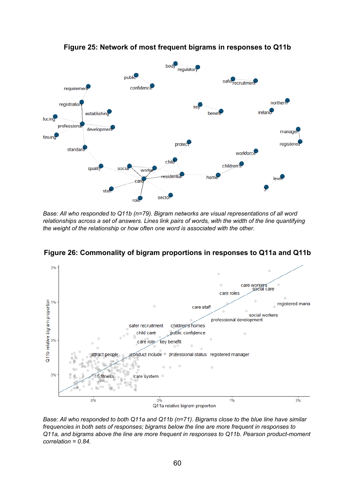<span id="page-59-0"></span>

**Figure 25: Network of most frequent bigrams in responses to Q11b**

*Base: All who responded to Q11b (n=79). Bigram networks are visual representations of all word relationships across a set of answers. Lines link pairs of words, with the width of the line quantifying the weight of the relationship or how often one word is associated with the other.*



<span id="page-59-1"></span>**Figure 26: Commonality of bigram proportions in responses to Q11a and Q11b**

*Base: All who responded to both Q11a and Q11b (n=71). Bigrams close to the blue line have similar frequencies in both sets of responses; bigrams below the line are more frequent in responses to Q11a, and bigrams above the line are more frequent in responses to Q11b. Pearson product-moment correlation = 0.84.*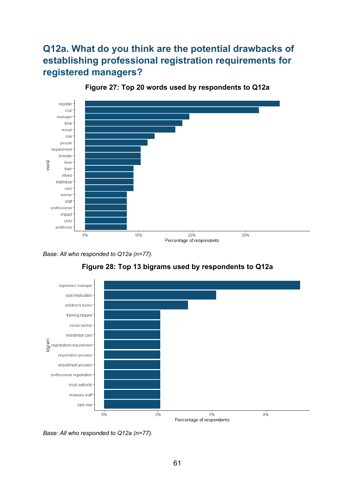# **Q12a. What do you think are the potential drawbacks of establishing professional registration requirements for registered managers?**

<span id="page-60-0"></span>

**Figure 27: Top 20 words used by respondents to Q12a**

*Base: All who responded to Q12a (n=77).*

<span id="page-60-1"></span>

**Figure 28: Top 13 bigrams used by respondents to Q12a**

*Base: All who responded to Q12a (n=77).*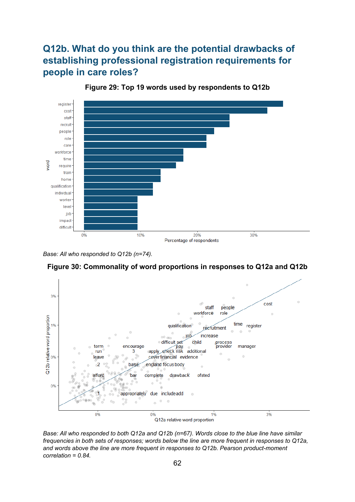# **Q12b. What do you think are the potential drawbacks of establishing professional registration requirements for people in care roles?**

<span id="page-61-0"></span>

**Figure 29: Top 19 words used by respondents to Q12b**

*Base: All who responded to Q12b (n=74).*

<span id="page-61-1"></span>



Q12a relative word proportion

*Base: All who responded to both Q12a and Q12b (n=67). Words close to the blue line have similar frequencies in both sets of responses; words below the line are more frequent in responses to Q12a, and words above the line are more frequent in responses to Q12b. Pearson product-moment correlation = 0.84.*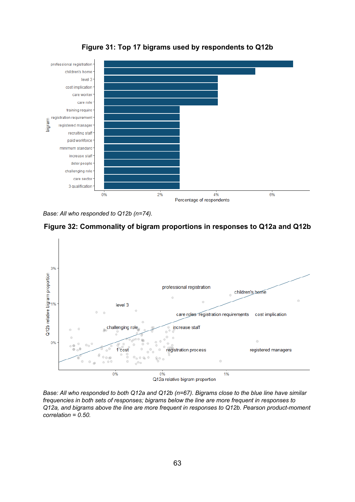<span id="page-62-0"></span>

**Figure 31: Top 17 bigrams used by respondents to Q12b**

*Base: All who responded to Q12b (n=74).*

<span id="page-62-1"></span>



*Base: All who responded to both Q12a and Q12b (n=67). Bigrams close to the blue line have similar frequencies in both sets of responses; bigrams below the line are more frequent in responses to Q12a, and bigrams above the line are more frequent in responses to Q12b. Pearson product-moment correlation = 0.50.*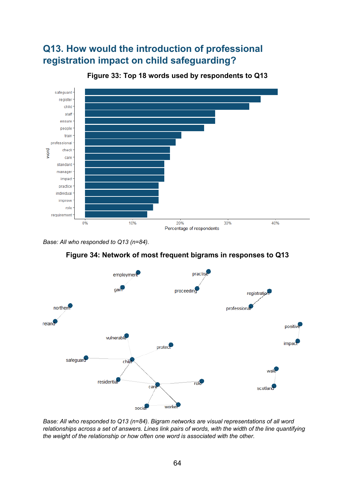# **Q13. How would the introduction of professional registration impact on child safeguarding?**

<span id="page-63-0"></span>

**Figure 33: Top 18 words used by respondents to Q13**

*Base: All who responded to Q13 (n=84).*



<span id="page-63-1"></span>

*Base: All who responded to Q13 (n=84). Bigram networks are visual representations of all word relationships across a set of answers. Lines link pairs of words, with the width of the line quantifying the weight of the relationship or how often one word is associated with the other.*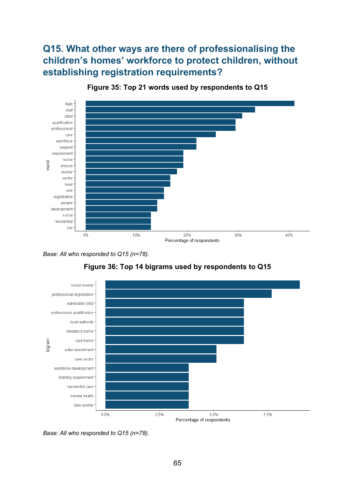# **Q15. What other ways are there of professionalising the children's homes' workforce to protect children, without establishing registration requirements?**

<span id="page-64-0"></span>

**Figure 35: Top 21 words used by respondents to Q15**

*Base: All who responded to Q15 (n=78).*

<span id="page-64-1"></span>

**Figure 36: Top 14 bigrams used by respondents to Q15**

*Base: All who responded to Q15 (n=78).*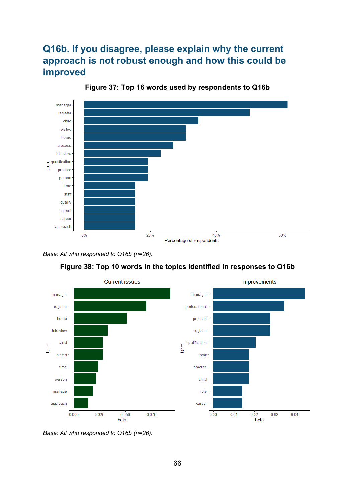# **Q16b. If you disagree, please explain why the current approach is not robust enough and how this could be improved**

<span id="page-65-0"></span>

**Figure 37: Top 16 words used by respondents to Q16b**



<span id="page-65-1"></span>

**Figure 38: Top 10 words in the topics identified in responses to Q16b**

*Base: All who responded to Q16b (n=26).*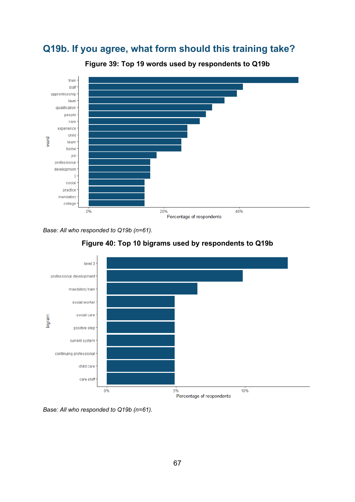# **Q19b. If you agree, what form should this training take?**

<span id="page-66-0"></span>

**Figure 39: Top 19 words used by respondents to Q19b**

*Base: All who responded to Q19b (n=61).*



<span id="page-66-1"></span>

*Base: All who responded to Q19b (n=61).*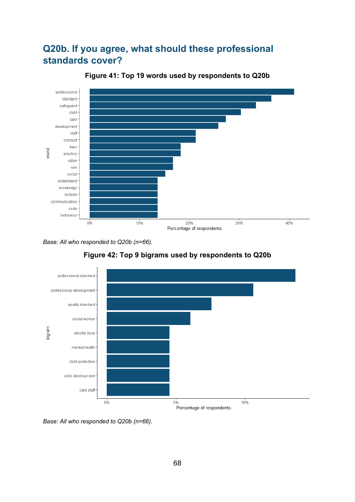# **Q20b. If you agree, what should these professional standards cover?**

<span id="page-67-0"></span>

**Figure 41: Top 19 words used by respondents to Q20b**

<span id="page-67-1"></span>*Base: All who responded to Q20b (n=66).*





*Base: All who responded to Q20b (n=66).*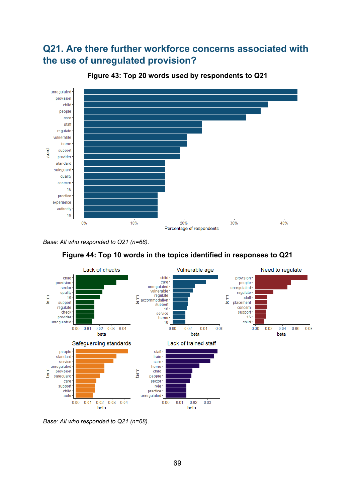# **Q21. Are there further workforce concerns associated with the use of unregulated provision?**

<span id="page-68-0"></span>

**Figure 43: Top 20 words used by respondents to Q21**

*Base: All who responded to Q21 (n=68).*

<span id="page-68-1"></span>



*Base: All who responded to Q21 (n=68).*